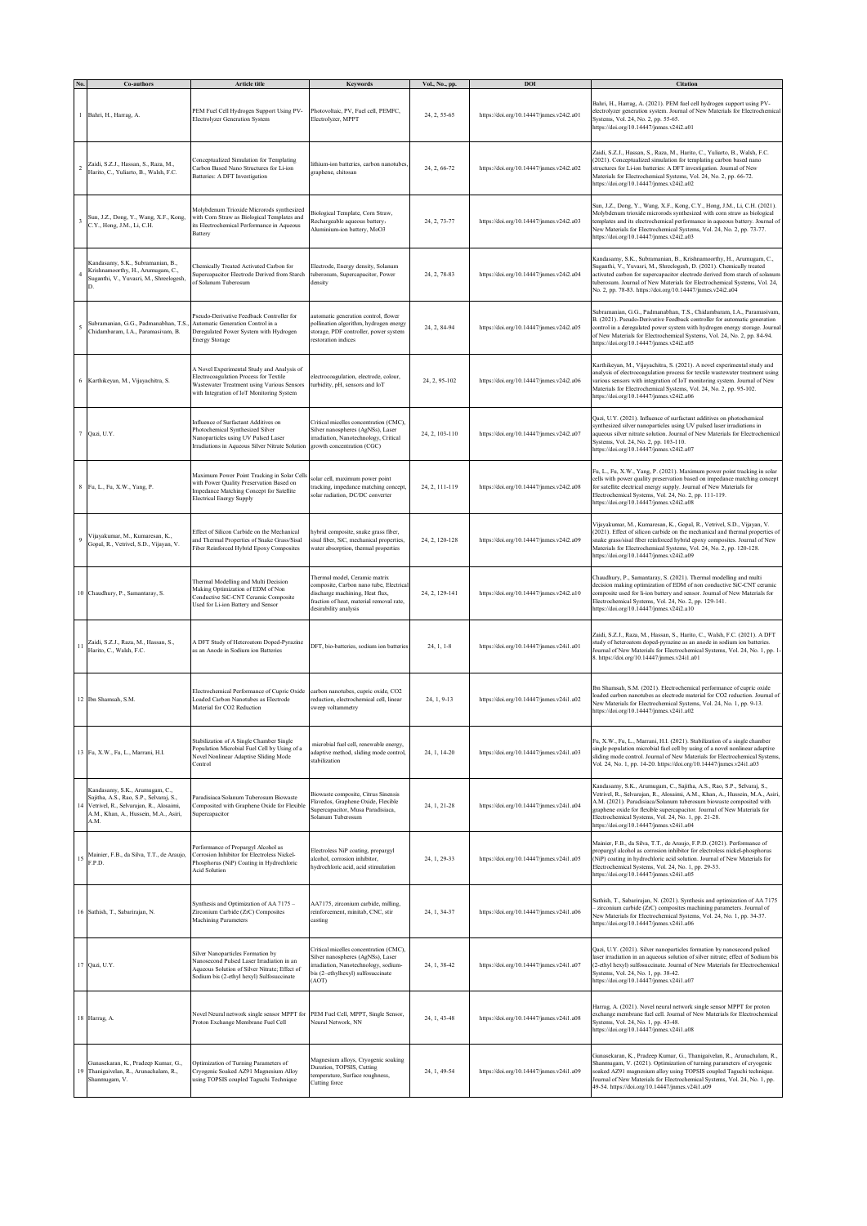|    | Co-authors                                                                                                                                                            | <b>Article title</b>                                                                                                                                                            | Kevword:                                                                                                                                                                        | Vol., No., pp  | DOI                                      | Citatio                                                                                                                                                                                                                                                                                                                                                                                                       |
|----|-----------------------------------------------------------------------------------------------------------------------------------------------------------------------|---------------------------------------------------------------------------------------------------------------------------------------------------------------------------------|---------------------------------------------------------------------------------------------------------------------------------------------------------------------------------|----------------|------------------------------------------|---------------------------------------------------------------------------------------------------------------------------------------------------------------------------------------------------------------------------------------------------------------------------------------------------------------------------------------------------------------------------------------------------------------|
|    | Bahri, H., Harrag, A.                                                                                                                                                 | PEM Fuel Cell Hydrogen Support Using PV-<br>Electrolyzer Generation System                                                                                                      | Photovoltaic, PV, Fuel cell, PEMFC,<br>Electrolyzer, MPPT                                                                                                                       | 24, 2, 55-65   | https://doi.org/10.14447/jnmes.v24i2.a01 | Bahri, H., Harrag, A. (2021). PEM fuel cell hydrogen support using PV-<br>electrolyzer generation system. Journal of New Materials for Electrochemical<br>Systems, Vol. 24, No. 2, pp. 55-65.<br>https://doi.org/10.14447/jnmes.v24i2.a01                                                                                                                                                                     |
|    | Zaidi, S.Z.J., Hassan, S., Raza, M.,<br>Harito, C., Yuliarto, B., Walsh, F.C.                                                                                         | Conceptualized Simulation for Templating<br>Carbon Based Nano Structures for Li-ion<br>Batteries: A DFT Investigation                                                           | lithium-ion batteries, carbon nanotubes,<br>graphene, chitosan                                                                                                                  | 24, 2, 66-72   | https://doi.org/10.14447/jnmes.v24i2.a02 | Zaidi, S.Z.J., Hassan, S., Raza, M., Harito, C., Yuliarto, B., Walsh, F.C.<br>(2021). Conceptualized simulation for templating carbon based nano<br>structures for Li-ion batteries: A DFT investigation. Journal of New<br>Materials for Electrochemical Systems, Vol. 24, No. 2, pp. 66-72.<br>https://doi.org/10.14447/jnmes.v24i2.a02                                                                     |
|    | Sun, J.Z., Dong, Y., Wang, X.F., Kong,<br>C.Y., Hong, J.M., Li, C.H.                                                                                                  | Molybdenum Trioxide Microrods synthesized<br>with Corn Straw as Biological Templates and<br>its Electrochemical Performance in Aqueous<br>Battery                               | Biological Template, Corn Straw,<br>Rechargeable aqueous battery,<br>Aluminium-ion battery, MoO3                                                                                | 24, 2, 73-77   | https://doi.org/10.14447/jnmes.v24i2.a03 | Sun, J.Z., Dong, Y., Wang, X.F., Kong, C.Y., Hong, J.M., Li, C.H. (2021).<br>Molybdenum trioxide microrods synthesized with corn straw as biological<br>templates and its electrochemical performance in aqueous battery. Journal of<br>New Materials for Electrochemical Systems, Vol. 24, No. 2, pp. 73-77.<br>https://doi.org/10.14447/jnmes.v24i2.a03                                                     |
|    | Kandasamy, S.K., Subramanian, B.,<br>Krishnamoorthy, H., Arumugam, C.,<br>Suganthi, V., Yuvasri, M., Shreelogesh,                                                     | Chemically Treated Activated Carbon for<br>Supercapacitor Electrode Derived from Starch<br>of Solanum Tuberosum                                                                 | Electrode, Energy density, Solanum<br>tuberosum, Supercapacitor, Power<br>density                                                                                               | 24, 2, 78-83   | https://doi.org/10.14447/jnmes.v24i2.a04 | Kandasamy, S.K., Subramanian, B., Krishnamoorthy, H., Arumugam, C.,<br>Suganthi, V., Yuvasri, M., Shreelogesh, D. (2021). Chemically treated<br>activated carbon for supercapacitor electrode derived from starch of solanum<br>tuberosum. Journal of New Materials for Electrochemical Systems, Vol. 24,<br>No. 2, pp. 78-83. https://doi.org/10.14447/jnmes.v24i2.a04                                       |
|    | Subramanian, G.G., Padmanabhan, T.S.<br>Chidambaram, I.A., Paramasivam, B.                                                                                            | Pseudo-Derivative Feedback Controller for<br>Automatic Generation Control in a<br>Deregulated Power System with Hydrogen<br><b>Energy Storage</b>                               | utomatic generation control, flower<br>pollination algorithm, hydrogen energy<br>storage, PDF controller, power system<br>restoration indices                                   | 24, 2, 84-94   | https://doi.org/10.14447/jnmes.v24i2.a05 | Subramanian, G.G., Padmanabhan, T.S., Chidambaram, I.A., Paramasivam<br>B. (2021). Pseudo-Derivative Feedback controller for automatic generation<br>control in a deregulated power system with hydrogen energy storage. Journal<br>of New Materials for Electrochemical Systems, Vol. 24, No. 2, pp. 84-94.<br>https://doi.org/10.14447/jnmes.v24i2.a05                                                      |
|    | 6 Karthikeyan, M., Vijayachitra, S.                                                                                                                                   | A Novel Experimental Study and Analysis of<br>Electrocoagulation Process for Textile<br>Wastewater Treatment using Various Sensors<br>with Integration of IoT Monitoring System | electrocoagulation, electrode, colour,<br>turbidity, pH, sensors and IoT                                                                                                        | 24, 2, 95-102  | https://doi.org/10.14447/jnmes.v24i2.a06 | Karthikeyan, M., Vijayachitra, S. (2021). A novel experimental study and<br>analysis of electrocoagulation process for textile wastewater treatment using<br>various sensors with integration of IoT monitoring system. Journal of New<br>Materials for Electrochemical Systems, Vol. 24, No. 2, pp. 95-102.<br>https://doi.org/10.14447/jnmes.v24i2.a06                                                      |
|    | Qazi, U.Y.                                                                                                                                                            | Influence of Surfactant Additives on<br>Photochemical Synthesized Silver<br>Nanoparticles using UV Pulsed Laser<br>Irradiations in Aqueous Silver Nitrate Solution              | Critical micelles concentration (CMC),<br>Silver nanospheres (AgNSs), Laser<br>irradiation, Nanotechnology, Critical<br>growth concentration (CGC)                              | 24, 2, 103-110 | https://doi.org/10.14447/jnmes.v24i2.a07 | Qazi, U.Y. (2021). Influence of surfactant additives on photochemical<br>synthesized silver nanoparticles using UV pulsed laser irradiations in<br>aqueous silver nitrate solution. Journal of New Materials for Electrochemical<br>Systems, Vol. 24, No. 2, pp. 103-110.<br>https://doi.org/10.14447/jnmes.v24i2.a07                                                                                         |
|    | Fu, L., Fu, X.W., Yang, P.                                                                                                                                            | Maximum Power Point Tracking in Solar Cells<br>with Power Quality Preservation Based on<br>mpedance Matching Concept for Satellite<br>Electrical Energy Supply                  | olar cell, maximum power point<br>tracking, impedance matching concept.<br>olar radiation, DC/DC converter                                                                      | 24, 2, 111-119 | https://doi.org/10.14447/jnmes.v24i2.a08 | Fu, L., Fu, X.W., Yang, P. (2021). Maximum power point tracking in solar<br>cells with power quality preservation based on impedance matching concept<br>for satellite electrical energy supply. Journal of New Materials for<br>Electrochemical Systems, Vol. 24, No. 2, pp. 111-119.<br>https://doi.org/10.14447/jnmes.v24i2.a08                                                                            |
|    | Vijayakumar, M., Kumaresan, K.,<br>Gopal, R., Vetrivel, S.D., Vijayan, V.                                                                                             | Effect of Silicon Carbide on the Mechanical<br>and Thermal Properties of Snake Grass/Sisal<br>Fiber Reinforced Hybrid Epoxy Composites                                          | hybrid composite, snake grass fiber,<br>sisal fiber, SiC, mechanical properties,<br>water absorption, thermal properties                                                        | 24, 2, 120-128 | https://doi.org/10.14447/jnmes.v24i2.a09 | Vijayakumar, M., Kumaresan, K., Gopal, R., Vetrivel, S.D., Vijayan, V.<br>(2021). Effect of silicon carbide on the mechanical and thermal properties of<br>snake grass/sisal fiber reinforced hybrid epoxy composites. Journal of New<br>Materials for Electrochemical Systems, Vol. 24, No. 2, pp. 120-128.<br>https://doi.org/10.14447/jnmes.v24i2.a09                                                      |
|    | 10 Chaudhury, P., Samantaray, S.                                                                                                                                      | Thermal Modelling and Multi Decision<br>Making Optimization of EDM of Non<br>Conductive SiC-CNT Ceramic Composite<br>Jsed for Li-ion Battery and Sensor                         | Thermal model, Ceramic matrix<br>composite, Carbon nano tube, Electrica<br>discharge machining, Heat flux,<br>fraction of heat, material removal rate,<br>desirability analysis | 24, 2, 129-141 | https://doi.org/10.14447/jnmes.v24i2.a10 | Chaudhury, P., Samantaray, S. (2021). Thermal modelling and multi<br>decision making optimization of EDM of non conductive SiC-CNT ceramic<br>composite used for li-ion battery and sensor. Journal of New Materials for<br>Electrochemical Systems, Vol. 24, No. 2, pp. 129-141.<br>https://doi.org/10.14447/jnmes.v24i2.a10                                                                                 |
| 11 | Zaidi, S.Z.J., Raza, M., Hassan, S.,<br>Harito, C., Walsh, F.C.                                                                                                       | A DFT Study of Heteroatom Doped-Pyrazine<br>as an Anode in Sodium ion Batteries                                                                                                 | DFT, bio-batteries, sodium ion batteries                                                                                                                                        | $24, 1, 1-8$   | https://doi.org/10.14447/jnmes.v24i1.a01 | Zaidi, S.Z.J., Raza, M., Hassan, S., Harito, C., Walsh, F.C. (2021). A DFT<br>study of heteroatom doped-pyrazine as an anode in sodium ion batteries.<br>Journal of New Materials for Electrochemical Systems, Vol. 24, No. 1, pp. 1-<br>8. https://doi.org/10.14447/jnmes.v24i1.a01                                                                                                                          |
|    | 12 Ibn Shamsah, S.M.                                                                                                                                                  | Electrochemical Performance of Cupric Oxide<br>Loaded Carbon Nanotubes as Electrode<br>Material for CO2 Reduction                                                               | carbon nanotubes, cupric oxide, CO2<br>reduction, electrochemical cell, linear<br>sweep voltammetry                                                                             | 24, 1, 9-13    | https://doi.org/10.14447/jnmes.v24i1.a02 | lbn Shamsah, S.M. (2021). Electrochemical performance of cupric oxide<br>oaded carbon nanotubes as electrode material for CO2 reduction. Journal of<br>New Materials for Electrochemical Systems, Vol. 24, No. 1, pp. 9-13.<br>https://doi.org/10.14447/jnmes.v24i1.a02                                                                                                                                       |
|    | 13 Fu, X.W., Fu, L., Marrani, H.I.                                                                                                                                    | Stabilization of A Single Chamber Single<br>Population Microbial Fuel Cell by Using of a<br>Novel Nonlinear Adaptive Sliding Mode<br>Control                                    | microbial fuel cell, renewable energy,<br>adaptive method, sliding mode control,<br>stabilization                                                                               | 24, 1, 14-20   | https://doi.org/10.14447/jnmes.v24i1.a03 | Fu, X.W., Fu, L., Marrani, H.I. (2021). Stabilization of a single chamber<br>single population microbial fuel cell by using of a novel nonlinear adaptive<br>sliding mode control. Journal of New Materials for Electrochemical Systems,<br>Vol. 24, No. 1, pp. 14-20. https://doi.org/10.14447/jnmes.v24i1.a03                                                                                               |
|    | Kandasamy, S.K., Arumugam, C.,<br>Sajitha, A.S., Rao, S.P., Selvaraj, S.,<br>Vetrivel, R., Selvarajan, R., Alosaimi,<br>A.M., Khan, A., Hussein, M.A., Asiri,<br>A.M. | Paradisiaca/Solanum Tuberosum Biowaste<br>Composited with Graphene Oxide for Flexible<br>Supercapacitor                                                                         | Biowaste composite, Citrus Sinensis<br>Flavedos, Graphene Oxide, Flexible<br>Supercapacitor, Musa Paradisiaca,<br>Solanum Tuberosum                                             | 24, 1, 21-28   | https://doi.org/10.14447/jnmes.v24i1.a04 | Kandasamy, S.K., Arumugam, C., Sajitha, A.S., Rao, S.P., Selvaraj, S.,<br>Vetrivel, R., Selvarajan, R., Alosaimi, A.M., Khan, A., Hussein, M.A., Asiri,<br>A.M. (2021). Paradisiaca/Solanum tuberosum biowaste composited with<br>graphene oxide for flexible supercapacitor. Journal of New Materials for<br>Electrochemical Systems, Vol. 24, No. 1, pp. 21-28.<br>https://doi.org/10.14447/jnmes.v24i1.a04 |
| 15 | Mainier, F.B., da Silva, T.T., de Araujo,<br>F.P.D.                                                                                                                   | Performance of Propargyl Alcohol as<br>Corrosion Inhibitor for Electroless Nickel-<br>Phosphorus (NiP) Coating in Hydrochloric<br><b>Acid Solution</b>                          | Electroless NiP coating, propargyl<br>alcohol, corrosion inhibitor,<br>hydrochloric acid, acid stimulation                                                                      | 24, 1, 29-33   | https://doi.org/10.14447/jnmes.v24i1.a05 | Mainier, F.B., da Silva, T.T., de Araujo, F.P.D. (2021). Performance of<br>propargyl alcohol as corrosion inhibitor for electroless nickel-phosphorus<br>(NiP) coating in hydrochloric acid solution. Journal of New Materials for<br>Electrochemical Systems, Vol. 24, No. 1, pp. 29-33.<br>https://doi.org/10.14447/jnmes.v24i1.a05                                                                         |
|    | 16 Sathish, T., Sabarirajan, N.                                                                                                                                       | Synthesis and Optimization of AA 7175 -<br>Zirconium Carbide (ZrC) Composites<br>Machining Parameters                                                                           | AA7175, zirconium carbide, milling,<br>reinforcement, minitab, CNC, stir<br>casting                                                                                             | 24, 1, 34-37   | https://doi.org/10.14447/jnmes.v24i1.a06 | Sathish, T., Sabarirajan, N. (2021). Synthesis and optimization of AA 7175<br>- zirconium carbide (ZrC) composites machining parameters. Journal of<br>New Materials for Electrochemical Systems, Vol. 24, No. 1, pp. 34-37.<br>https://doi.org/10.14447/jnmes.v24i1.a06                                                                                                                                      |
|    | 17 Qazi, U.Y.                                                                                                                                                         | Silver Nanoparticles Formation by<br>Nanosecond Pulsed Laser Irradiation in an<br>Aqueous Solution of Silver Nitrate; Effect of<br>Sodium bis (2-ethyl hexyl) Sulfosuccinate    | Critical micelles concentration (CMC),<br>Silver nanospheres (AgNSs), Laser<br>irradiation, Nanotechnology, sodium-<br>bis (2-ethylhexyl) sulfosuccinate<br>(AOT)               | 24, 1, 38-42   | https://doi.org/10.14447/jnmes.v24i1.a07 | Qazi, U.Y. (2021). Silver nanoparticles formation by nanosecond pulsed<br>laser irradiation in an aqueous solution of silver nitrate; effect of Sodium bis<br>(2-ethyl hexyl) sulfosuccinate. Journal of New Materials for Electrochemical<br>Systems, Vol. 24, No. 1, pp. 38-42.<br>https://doi.org/10.14447/jnmes.v24i1.a07                                                                                 |
|    | 18 Harrag, A.                                                                                                                                                         | Novel Neural network single sensor MPPT for PEM Fuel Cell, MPPT, Single Sensor,<br>Proton Exchange Membrane Fuel Cell                                                           | Neural Network, NN                                                                                                                                                              | 24, 1, 43-48   | https://doi.org/10.14447/jnmes.v24i1.a08 | Harrag, A. (2021). Novel neural network single sensor MPPT for proton<br>exchange membrane fuel cell. Journal of New Materials for Electrochemical<br>Systems, Vol. 24, No. 1, pp. 43-48.<br>https://doi.org/10.14447/jnmes.v24i1.a08                                                                                                                                                                         |
| 19 | Gunasekaran, K., Pradeep Kumar, G.,<br>Thanigaivelan, R., Arunachalam, R.,<br>Shanmugam, V.                                                                           | Optimization of Turning Parameters of<br>Cryogenic Soaked AZ91 Magnesium Alloy<br>using TOPSIS coupled Taguchi Technique                                                        | Magnesium alloys, Cryogenic soaking<br>Duration, TOPSIS, Cutting<br>emperature, Surface roughness,<br>Cutting force                                                             | 24, 1, 49-54   | https://doi.org/10.14447/jnmes.v24i1.a09 | Gunasekaran, K., Pradeep Kumar, G., Thanigaivelan, R., Arunachalam, R.,<br>Shanmugam, V. (2021). Optimization of turning parameters of cryogenic<br>soaked AZ91 magnesium alloy using TOPSIS coupled Taguchi technique.<br>Journal of New Materials for Electrochemical Systems, Vol. 24, No. 1, pp.<br>49-54. https://doi.org/10.14447/jnmes.v24i1.a09                                                       |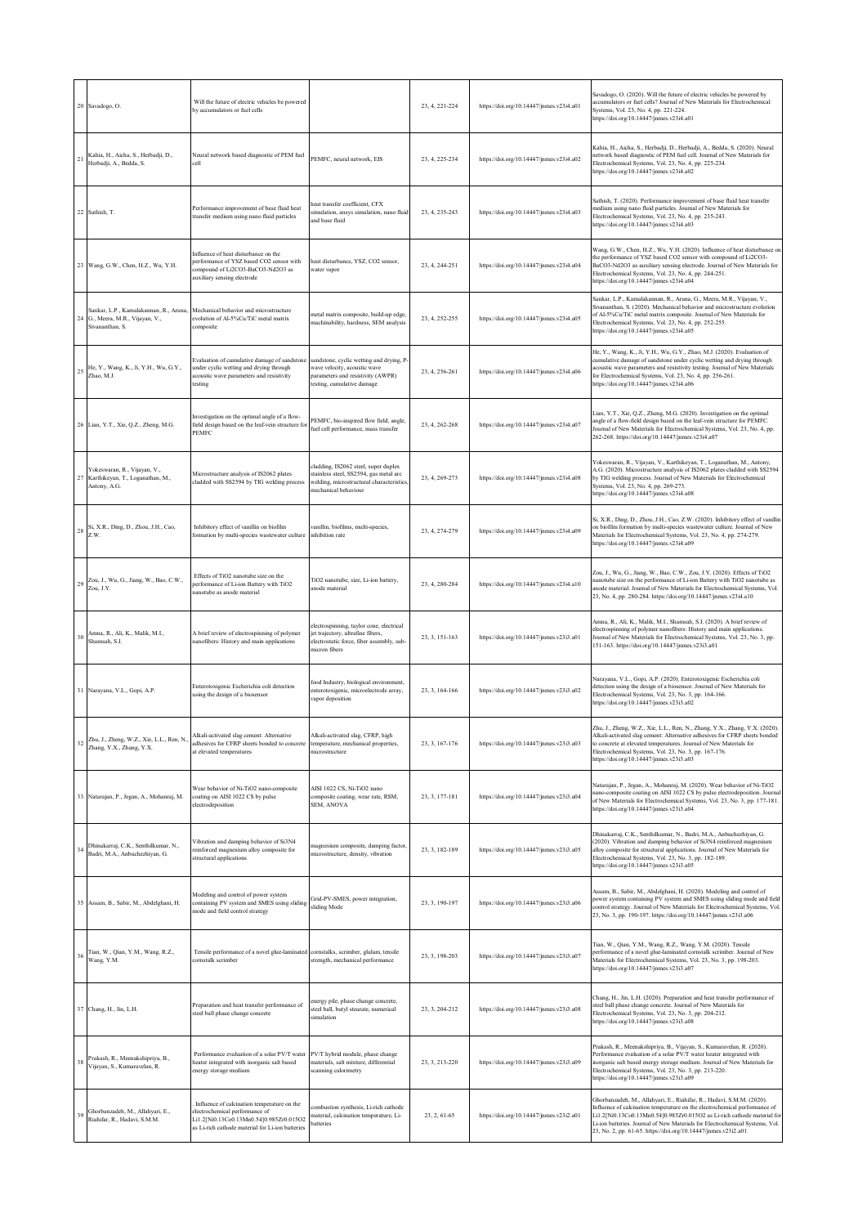|                 | 20 Savadogo, O.                                                                                                                          | Will the future of electric vehicles be powered<br>by accumulators or fuel cells                                                                                             |                                                                                                                                                    | 23, 4, 221-224 | https://doi.org/10.14447/jnmes.v23i4.a01 | Savadogo, O. (2020). Will the future of electric vehicles be powered by<br>accumulators or fuel cells? Journal of New Materials for Electrochemical<br>Systems, Vol. 23, No. 4, pp. 221-224.<br>https://doi.org/10.14447/jnmes.v23i4.a01                                                                                                                                         |
|-----------------|------------------------------------------------------------------------------------------------------------------------------------------|------------------------------------------------------------------------------------------------------------------------------------------------------------------------------|----------------------------------------------------------------------------------------------------------------------------------------------------|----------------|------------------------------------------|----------------------------------------------------------------------------------------------------------------------------------------------------------------------------------------------------------------------------------------------------------------------------------------------------------------------------------------------------------------------------------|
|                 | Kahia, H., Aicha, S., Herbadji, D.,<br>$21 \begin{array}{l} \textbf{Aama, 11, 131, 211} \\ \textbf{Herbadji, A., Bedda, S.} \end{array}$ | Neural network based diagnostic of PEM fuel<br>cell                                                                                                                          | PEMFC, neural network, EIS                                                                                                                         | 23, 4, 225-234 | https://doi.org/10.14447/jnmes.v23i4.a02 | Kahia, H., Aicha, S., Herbadji, D., Herbadji, A., Bedda, S. (2020). Neural<br>network based diagnostic of PEM fuel cell. Journal of New Materials for<br>Electrochemical Systems, Vol. 23, No. 4, pp. 225-234.<br>https://doi.org/10.14447/jnmes.v23i4.a02                                                                                                                       |
|                 | 22 Sathish, T.                                                                                                                           | Performance improvement of base fluid heat<br>ransfer medium using nano fluid particles                                                                                      | heat transfer coefficient, CFX<br>simulation, ansys simulation, nano fluid<br>and base fluid                                                       | 23, 4, 235-243 | https://doi.org/10.14447/jnmes.v23i4.a03 | Sathish, T. (2020). Performance improvement of base fluid heat transfer<br>nedium using nano fluid particles. Journal of New Materials for<br>Electrochemical Systems, Vol. 23, No. 4, pp. 235-243.<br>https://doi.org/10.14447/jnmes.v23i4.a03                                                                                                                                  |
|                 | 23 Wang, G.W., Chen, H.Z., Wu, Y.H.                                                                                                      | Influence of heat disturbance on the<br>performance of YSZ based CO2 sensor with<br>compound of Li2CO3-BaCO3-Nd2O3 as<br>auxiliary sensing electrode                         | heat disturbance, YSZ, CO2 sensor,<br>water vapor                                                                                                  | 23, 4, 244-251 | https://doi.org/10.14447/jnmes.v23i4.a04 | Wang, G.W., Chen, H.Z., Wu, Y.H. (2020). Influence of heat disturbance on<br>the performance of YSZ based CO2 sensor with compound of Li2CO3-<br>BaCO3-Nd2O3 as auxiliary sensing electrode. Journal of New Materials for<br>Electrochemical Systems, Vol. 23, No. 4, pp. 244-251.<br>https://doi.org/10.14447/jnmes.v23i4.a04                                                   |
|                 | Sankar, L.P., Kamalakannan, R., Aruna,<br>24 G., Meera, M.R., Vijayan, V.,<br>Sivananthan, S.                                            | Mechanical behavior and microstructure<br>evolution of Al-5%Cu/TiC metal matrix<br>composite                                                                                 | metal matrix composite, build-up edge,<br>nachinability, hardness, SEM analysis                                                                    | 23, 4, 252-255 | https://doi.org/10.14447/jnmes.v23i4.a05 | Sankar, L.P., Kamalakannan, R., Aruna, G., Meera, M.R., Vijayan, V.,<br>Sivananthan, S. (2020). Mechanical behavior and microstructure evolution<br>of Al-5%Cu/TiC metal matrix composite. Journal of New Materials for<br>Electrochemical Systems, Vol. 23, No. 4, pp. 252-255.<br>https://doi.org/10.14447/jnmes.v23i4.a05                                                     |
|                 | 25 He, Y., Wang, K., Ji, Y.H., Wu, G.Y.,<br>Zhao, M.J.                                                                                   | Evaluation of cumulative damage of sandstone<br>under cyclic wetting and drying through<br>acoustic wave parameters and resistivity<br>testing                               | sandstone, cyclic wetting and drying, P<br>wave velocity, acoustic wave<br>parameters and resistivity (AWPR)<br>testing, cumulative damage         | 23, 4, 256-261 | https://doi.org/10.14447/jnmes.v23i4.a06 | He, Y., Wang, K., Ji, Y.H., Wu, G.Y., Zhao, M.J. (2020). Evaluation of<br>cumulative damage of sandstone under cyclic wetting and drying through<br>acoustic wave parameters and resistivity testing. Journal of New Materials<br>for Electrochemical Systems, Vol. 23, No. 4, pp. 256-261.<br>https://doi.org/10.14447/jnmes.v23i4.a06                                          |
|                 | 26 Lian, Y.T., Xie, Q.Z., Zheng, M.G.                                                                                                    | Investigation on the optimal angle of a flow-<br>field design based on the leaf-vein structure fo<br>PEMFC                                                                   | PEMFC, bio-inspired flow field, angle,<br>fuel cell performance, mass transfer                                                                     | 23, 4, 262-268 | https://doi.org/10.14447/jnmes.v23i4.a07 | Lian, Y.T., Xie, Q.Z., Zheng, M.G. (2020). Investigation on the optimal<br>angle of a flow-field design based on the leaf-vein structure for PEMFC.<br>lournal of New Materials for Electrochemical Systems, Vol. 23, No. 4, pp.<br>262-268. https://doi.org/10.14447/jnmes.v23i4.a07                                                                                            |
|                 | Yokeswaran, R., Vijayan, V.,<br>27 Karthikeyan, T., Loganathan, M.,<br>Antony, A.G.                                                      | Microstructure analysis of IS2062 plates<br>cladded with SS2594 by TIG welding process                                                                                       | cladding, IS2062 steel, super duplex<br>stainless steel, SS2594, gas metal arc<br>welding, microstructural characteristics<br>mechanical behaviour | 23, 4, 269-273 | https://doi.org/10.14447/jnmes.v23i4.a08 | Yokeswaran, R., Vijayan, V., Karthikeyan, T., Loganathan, M., Antony,<br>A.G. (2020). Microstructure analysis of IS2062 plates cladded with SS2594<br>by TIG welding process. Journal of New Materials for Electrochemical<br>Systems, Vol. 23, No. 4, pp. 269-273.<br>https://doi.org/10.14447/jnmes.v23i4.a08                                                                  |
|                 | 28 Si, X.R., Ding, D., Zhou, J.H., Cao, Z.W.                                                                                             | Inhibitory effect of vanillin on biofilm<br>formation by multi-species wastewater culture                                                                                    | vanillin, biofilms, multi-species,<br>inhibition rate                                                                                              | 23, 4, 274-279 | https://doi.org/10.14447/jnmes.v23i4.a09 | Si, X.R., Ding, D., Zhou, J.H., Cao, Z.W. (2020). Inhibitory effect of vanillin<br>on biofilm formation by multi-species wastewater culture. Journal of New<br>Materials for Electrochemical Systems, Vol. 23, No. 4, pp. 274-279.<br>https://doi.org/10.14447/jnmes.v23i4.a09                                                                                                   |
|                 | 29 Zou, J., Wu, G., Jiang, W., Bao, C.W.,<br>Zou, J.Y.                                                                                   | Effects of TiO2 nanotube size on the<br>erformance of Li-ion Battery with TiO2<br>anotube as anode material                                                                  | TiO2 nanotube, size, Li-ion battery,<br>anode material                                                                                             | 23, 4, 280-284 | https://doi.org/10.14447/jnmes.v23i4.a10 | Zou, J., Wu, G., Jiang, W., Bao, C.W., Zou, J.Y. (2020). Effects of TiO2<br>nanotube size on the performance of Li-ion Battery with TiO2 nanotube as<br>node material. Journal of New Materials for Electrochemical Systems, Vol.<br>23, No. 4, pp. 280-284. https://doi.org/10.14447/jnmes.v23i4.a10                                                                            |
| 30 <sup>°</sup> | Amna, R., Ali, K., Malik, M.I.,<br>Shamsah, S.I.                                                                                         | A brief review of electrospinning of polymer<br>nanofibers: History and main applications                                                                                    | electrospinning, taylor cone, electrical<br>jet trajectory, ultrafine fibers,<br>electrostatic force, fiber assembly, sub-<br>micron fibers        | 23, 3, 151-163 | https://doi.org/10.14447/jnmes.v23i3.a01 | Amna, R., Ali, K., Malik, M.I., Shamsah, S.I. (2020). A brief review of<br>electrospinning of polymer nanofibers: History and main applications.<br>Journal of New Materials for Electrochemical Systems, Vol. 23, No. 3, pp.<br>151-163. https://doi.org/10.14447/jnmes.v23i3.a01                                                                                               |
|                 | 31 Narayana, V.L., Gopi, A.P.                                                                                                            | Enterotoxigenic Escherichia coli detection<br>using the design of a biosensor                                                                                                | food Industry, biological environment,<br>enterotoxigenic, microelectrode array,<br>vapor deposition                                               | 23, 3, 164-166 | https://doi.org/10.14447/jnmes.v23i3.a02 | Narayana, V.L., Gopi, A.P. (2020). Enterotoxigenic Escherichia coli<br>detection using the design of a biosensor. Journal of New Materials for<br>Electrochemical Systems, Vol. 23, No. 3, pp. 164-166.<br>https://doi.org/10.14447/jnmes.v23i3.a02                                                                                                                              |
| 32              | Zhu, J., Zheng, W.Z., Xie, L.L., Ren, N.,<br>Zhang, Y.X., Zhang, Y.X.                                                                    | Alkali-activated slag cement: Alternative<br>adhesives for CFRP sheets bonded to concrete<br>at elevated temperatures                                                        | Alkali-activated slag, CFRP, high<br>temperature, mechanical properties,<br>microstructure                                                         | 23, 3, 167-176 | https://doi.org/10.14447/jnmes.v23i3.a03 | Zhu, J., Zheng, W.Z., Xie, L.L., Ren, N., Zhang, Y.X., Zhang, Y.X. (2020).<br>Alkali-activated slag cement: Alternative adhesives for CFRP sheets bonded<br>to concrete at elevated temperatures. Journal of New Materials for<br>Electrochemical Systems, Vol. 23, No. 3, pp. 167-176.<br>https://doi.org/10.14447/jnmes.v23i3.a03                                              |
|                 | 33 Natarajan, P., Jegan, A., Mohanraj, M.                                                                                                | Wear behavior of Ni-TiO2 nano-composite<br>coating on AISI 1022 CS by pulse<br>electrodeposition                                                                             | AISI 1022 CS, Ni-TiO2 nano<br>composite coating, wear rate, RSM,<br>SEM, ANOVA                                                                     | 23, 3, 177-181 | https://doi.org/10.14447/jnmes.v23i3.a04 | Vatarajan, P., Jegan, A., Mohanraj, M. (2020). Wear behavior of Ni-TiO2<br>nano-composite coating on AISI 1022 CS by pulse electrodeposition. Journal<br>of New Materials for Electrochemical Systems, Vol. 23, No. 3, pp. 177-181.<br>https://doi.org/10.14447/jnmes.v23i3.a04                                                                                                  |
|                 | 34 Dhinakarraj, C.K., Senthilkumar, N.,<br>Badri, M.A., Anbuchezhiyan, G.                                                                | Vibration and damping behavior of Si3N4<br>reinforced magnesium alloy composite for<br>structural applications                                                               | nagnesium composite, damping factor,<br>microstructure, density, vibration                                                                         | 23, 3, 182-189 | https://doi.org/10.14447/jnmes.v23i3.a05 | Dhinakarraj, C.K., Senthilkumar, N., Badri, M.A., Anbuchezhiyan, G.<br>2020). Vibration and damping behavior of Si3N4 reinforced magnesium<br>alloy composite for structural applications. Journal of New Materials for<br>Electrochemical Systems, Vol. 23, No. 3, pp. 182-189.<br>https://doi.org/10.14447/jnmes.v23i3.a05                                                     |
|                 | 35 Assam, B., Sabir, M., Abdelghani, H.                                                                                                  | Modeling and control of power system<br>containing PV system and SMES using sliding<br>node and field control strategy                                                       | Grid-PV-SMES, power integration,<br>sliding Mode                                                                                                   | 23, 3, 190-197 | https://doi.org/10.14447/jnmes.v23i3.a06 | Assam, B., Sabir, M., Abdelghani, H. (2020). Modeling and control of<br>power system containing PV system and SMES using sliding mode and field<br>ontrol strategy. Journal of New Materials for Electrochemical Systems, Vol.<br>23, No. 3, pp. 190-197. https://doi.org/10.14447/jnmes.v23i3.a06                                                                               |
| 36              | Tian, W., Qian, Y.M., Wang, R.Z.,<br>Wang, Y.M.                                                                                          | Tensile performance of a novel glue-laminated cornstalks, scrimber, glulam, tensile<br>cornstalk scrimber                                                                    | strength, mechanical performance                                                                                                                   | 23, 3, 198-203 | https://doi.org/10.14447/jnmes.v23i3.a07 | Tian, W., Qian, Y.M., Wang, R.Z., Wang, Y.M. (2020). Tensile<br>performance of a novel glue-laminated cornstalk scrimber. Journal of New<br>Materials for Electrochemical Systems, Vol. 23, No. 3, pp. 198-203.<br>https://doi.org/10.14447/jnmes.v23i3.a07                                                                                                                      |
|                 | 37 Chang, H., Jin, L.H.                                                                                                                  | Preparation and heat transfer performance of<br>steel ball phase change concrete                                                                                             | energy pile, phase change concrete,<br>steel ball, butyl stearate, numerical<br>simulation                                                         | 23, 3, 204-212 | https://doi.org/10.14447/jnmes.v23i3.a08 | Chang, H., Jin, L.H. (2020). Preparation and heat transfer performance of<br>steel ball phase change concrete. Journal of New Materials for<br>Electrochemical Systems, Vol. 23, No. 3, pp. 204-212.<br>https://doi.org/10.14447/jnmes.v23i3.a08                                                                                                                                 |
| 38              | Prakash, R., Meenakshipriya, B.,<br>Vijayan, S., Kumaravelan, R.                                                                         | Performance evaluation of a solar PV/T water PV/T hybrid module, phase change<br>heater integrated with inorganic salt based<br>energy storage medium                        | materials, salt mixture, differential<br>scanning calorimetry                                                                                      | 23, 3, 213-220 | https://doi.org/10.14447/jnmes.v23i3.a09 | Prakash, R., Meenakshipriya, B., Vijayan, S., Kumaravelan, R. (2020).<br>Performance evaluation of a solar PV/T water heater integrated with<br>norganic salt based energy storage medium. Journal of New Materials for<br>Electrochemical Systems, Vol. 23, No. 3, pp. 213-220.<br>https://doi.org/10.14447/jnmes.v23i3.a09                                                     |
| 39              | Ghorbanzadeh, M., Allahyari, E.,<br>Riahifar, R., Hadavi, S.M.M.                                                                         | Influence of calcination temperature on the<br>electrochemical performance of<br>Li1.2[Ni0.13Co0.13Mn0.54]0.985Zr0.015O2<br>as Li-rich cathode material for Li-ion batteries | ombustion synthesis, Li-rich cathode<br>material, calcination temperature, Li-<br>batteries                                                        | 23, 2, 61-65   | https://doi.org/10.14447/jnmes.v23i2.a01 | Ghorbanzadeh, M., Allahyari, E., Riahifar, R., Hadavi, S.M.M. (2020).<br>Influence of calcination temperature on the electrochemical performance of<br>Li1.2[Ni0.13Co0.13Mn0.54]0.985Zr0.015O2 as Li-rich cathode material for<br>Li-ion batteries. Journal of New Materials for Electrochemical Systems, Vol.<br>23, No. 2, pp. 61-65. https://doi.org/10.14447/jnmes.v23i2.a01 |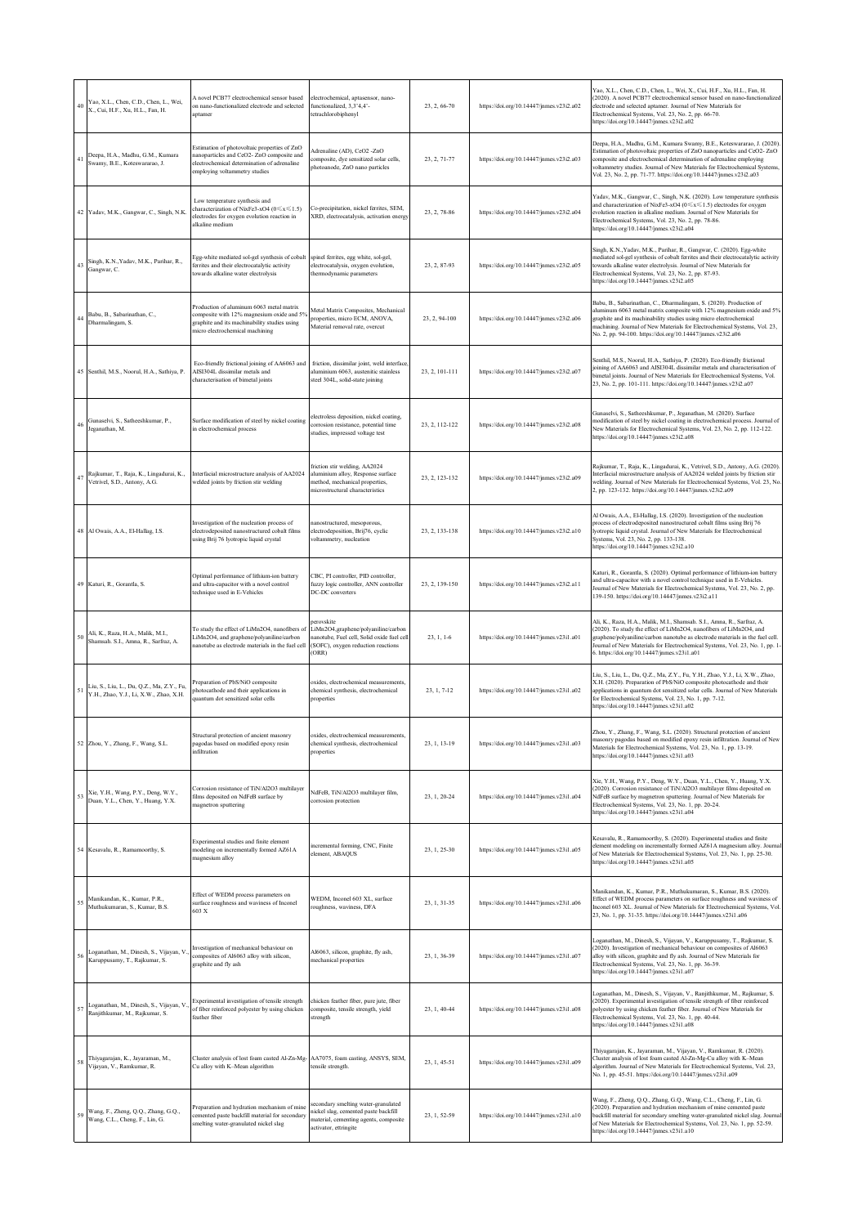| 40 | Yao, X.L., Chen, C.D., Chen, L., Wei,<br>X., Cui, H.F., Xu, H.L., Fan, H.           | A novel PCB77 electrochemical sensor based<br>on nano-functionalized electrode and selected<br>aptamer                                                                    | electrochemical, aptasensor, nano-<br>functionalized, 3,3'4,4'-<br>tetrachlorobiphenyl                                                        | 23, 2, 66-70   | https://doi.org/10.14447/jnmes.v23i2.a02 | Yao, X.L., Chen, C.D., Chen, L., Wei, X., Cui, H.F., Xu, H.L., Fan, H.<br>(2020). A novel PCB77 electrochemical sensor based on nano-functionalized<br>electrode and selected aptamer. Journal of New Materials for<br>Electrochemical Systems, Vol. 23, No. 2, pp. 66-70.<br>https://doi.org/10.14447/jnmes.v23i2.a02                                                         |
|----|-------------------------------------------------------------------------------------|---------------------------------------------------------------------------------------------------------------------------------------------------------------------------|-----------------------------------------------------------------------------------------------------------------------------------------------|----------------|------------------------------------------|--------------------------------------------------------------------------------------------------------------------------------------------------------------------------------------------------------------------------------------------------------------------------------------------------------------------------------------------------------------------------------|
| 41 | Deepa, H.A., Madhu, G.M., Kumara<br>Swamy, B.E., Koteswararao, J.                   | Estimation of photovoltaic properties of ZnO<br>nanoparticles and CeO2- ZnO composite and<br>electrochemical determination of adrenaline<br>employing voltammetry studies | Adrenaline (AD), CeO2 -ZnO<br>composite, dye sensitized solar cells,<br>photoanode, ZnO nano particles                                        | 23, 2, 71-77   | https://doi.org/10.14447/jnmes.v23i2.a03 | Deepa, H.A., Madhu, G.M., Kumara Swamy, B.E., Koteswararao, J. (2020).<br>Estimation of photovoltaic properties of ZnO nanoparticles and CeO2- ZnO<br>composite and electrochemical determination of adrenaline employing<br>voltammetry studies. Journal of New Materials for Electrochemical Systems,<br>Vol. 23, No. 2, pp. 71-77. https://doi.org/10.14447/jnmes.v23i2.a03 |
|    | 42 Yadav, M.K., Gangwar, C., Singh, N.K.                                            | Low temperature synthesis and<br>characterization of NixFe3-xO4 (0≤x≤1.5)<br>electrodes for oxygen evolution reaction in<br>alkaline medium                               | Co-precipitation, nickel ferrites, SEM,<br>XRD, electrocatalysis, activation energy                                                           | 23, 2, 78-86   | https://doi.org/10.14447/jnmes.v23i2.a04 | Yadav, M.K., Gangwar, C., Singh, N.K. (2020). Low temperature synthesis<br>and characterization of NixFe3-xO4 ( $0 \le x \le 1.5$ ) electrodes for oxygen<br>evolution reaction in alkaline medium. Journal of New Materials for<br>Electrochemical Systems, Vol. 23, No. 2, pp. 78-86.<br>https://doi.org/10.14447/jnmes.v23i2.a04                                            |
|    | 43 Singh, K.N., Yadav, M.K., Parihar, R.,<br>Gangwar, C.                            | Egg-white mediated sol-gel synthesis of cobalt<br>ferrites and their electrocatalytic activity<br>towards alkaline water electrolysis                                     | spinel ferrites, egg white, sol-gel,<br>electrocatalysis, oxygen evolution,<br>thermodynamic parameters                                       | 23, 2, 87-93   | https://doi.org/10.14447/jnmes.v23i2.a05 | Singh, K.N., Yadav, M.K., Parihar, R., Gangwar, C. (2020). Egg-white<br>mediated sol-gel synthesis of cobalt ferrites and their electrocatalytic activity<br>towards alkaline water electrolysis. Journal of New Materials for<br>Electrochemical Systems, Vol. 23, No. 2, pp. 87-93.<br>https://doi.org/10.14447/jnmes.v23i2.a05                                              |
|    | 44 Babu, B., Sabarinathan, C.,<br>Dharmalingam, S.                                  | Production of aluminum 6063 metal matrix<br>composite with 12% magnesium oxide and 5%<br>graphite and its machinability studies using<br>micro electrochemical machining  | Metal Matrix Composites, Mechanical<br>properties, micro ECM, ANOVA,<br>Material removal rate, overcut                                        | 23, 2, 94-100  | https://doi.org/10.14447/jnmes.v23i2.a06 | Babu, B., Sabarinathan, C., Dharmalingam, S. (2020). Production of<br>aluminum 6063 metal matrix composite with 12% magnesium oxide and 5%<br>graphite and its machinability studies using micro electrochemical<br>machining. Journal of New Materials for Electrochemical Systems, Vol. 23,<br>No. 2, pp. 94-100. https://doi.org/10.14447/jnmes.v23i2.a06                   |
|    | 45 Senthil, M.S., Noorul, H.A., Sathiya, P.                                         | Eco-friendly frictional joining of AA6063 and<br>AISI304L dissimilar metals and<br>characterisation of bimetal joints                                                     | friction, dissimilar joint, weld interface<br>aluminium 6063, austenitic stainless<br>steel 304L, solid-state joining                         | 23.2.101-111   | https://doi.org/10.14447/jnmes.v23i2.a07 | Senthil, M.S., Noorul, H.A., Sathiya, P. (2020). Eco-friendly frictional<br>oining of AA6063 and AISI304L dissimilar metals and characterisation of<br>bimetal joints. Journal of New Materials for Electrochemical Systems, Vol.<br>23, No. 2, pp. 101-111. https://doi.org/10.14447/jnmes.v23i2.a07                                                                          |
| 46 | Gunaselvi, S., Satheeshkumar, P.,<br>Jeganathan, M.                                 | Surface modification of steel by nickel coating<br>in electrochemical process                                                                                             | electroless deposition, nickel coating,<br>corrosion resistance, potential time<br>studies, impressed voltage test                            | 23, 2, 112-122 | https://doi.org/10.14447/jnmes.v23i2.a08 | Gunaselvi, S., Satheeshkumar, P., Jeganathan, M. (2020). Surface<br>nodification of steel by nickel coating in electrochemical process. Journal of<br>New Materials for Electrochemical Systems, Vol. 23, No. 2, pp. 112-122.<br>https://doi.org/10.14447/jnmes.v23i2.a08                                                                                                      |
| 47 | Rajkumar, T., Raja, K., Lingadurai, K.,<br>Vetrivel, S.D., Antony, A.G.             | nterfacial microstructure analysis of AA2024<br>welded joints by friction stir welding                                                                                    | friction stir welding, AA2024<br>aluminium alloy, Response surface<br>method, mechanical properties,<br>microstructural characteristics       | 23, 2, 123-132 | https://doi.org/10.14447/jnmes.v23i2.a09 | Rajkumar, T., Raja, K., Lingadurai, K., Vetrivel, S.D., Antony, A.G. (2020).<br>Interfacial microstructure analysis of AA2024 welded joints by friction stir<br>welding. Journal of New Materials for Electrochemical Systems, Vol. 23, No.<br>2, pp. 123-132. https://doi.org/10.14447/jnmes.v23i2.a09                                                                        |
|    | 48 Al Owais, A.A., El-Hallag, I.S.                                                  | Investigation of the nucleation process of<br>electrodeposited nanostructured cobalt films<br>using Brij 76 lyotropic liquid crystal                                      | nanostructured, mesoporous,<br>electrodeposition, Brij76, cyclic<br>voltammetry, nucleation                                                   | 23, 2, 133-138 | https://doi.org/10.14447/jnmes.v23i2.a10 | Al Owais, A.A., El-Hallag, I.S. (2020). Investigation of the nucleation<br>process of electrodeposited nanostructured cobalt films using Brij 76<br>lyotropic liquid crystal. Journal of New Materials for Electrochemical<br>Systems, Vol. 23, No. 2, pp. 133-138.<br>https://doi.org/10.14447/jnmes.v23i2.a10                                                                |
|    | 49 Katuri, R., Gorantla, S.                                                         | Optimal performance of lithium-ion battery<br>and ultra-capacitor with a novel control<br>technique used in E-Vehicles                                                    | CBC, PI controller, PID controller,<br>fuzzy logic controller, ANN controller<br>DC-DC converters                                             | 23, 2, 139-150 | https://doi.org/10.14447/jnmes.v23i2.a11 | Katuri, R., Gorantla, S. (2020). Optimal performance of lithium-ion battery<br>and ultra-capacitor with a novel control technique used in E-Vehicles.<br>Journal of New Materials for Electrochemical Systems, Vol. 23, No. 2, pp.<br>139-150. https://doi.org/10.14447/jnmes.v23i2.a11                                                                                        |
| 50 | Ali, K., Raza, H.A., Malik, M.I.,<br>Shamsah. S.I., Amna, R., Sarfraz, A.           | To study the effect of LiMn2O4, nanofibers of<br>LiMn2O4, and graphene/polyaniline/carbon<br>nanotube as electrode materials in the fuel cell                             | erovskite<br>LiMn2O4,graphene/polyaniline/carbon<br>nanotube, Fuel cell, Solid oxide fuel cell<br>(SOFC), oxygen reduction reactions<br>(ORR) | $23, 1, 1-6$   | https://doi.org/10.14447/jnmes.v23i1.a01 | Ali, K., Raza, H.A., Malik, M.I., Shamsah. S.I., Amna, R., Sarfraz, A.<br>(2020). To study the effect of LiMn2O4, nanofibers of LiMn2O4, and<br>graphene/polyaniline/carbon nanotube as electrode materials in the fuel cell.<br>lournal of New Materials for Electrochemical Systems, Vol. 23, No. 1, pp. 1-<br>6. https://doi.org/10.14447/jnmes.v23i1.a01                   |
| 51 | Liu, S., Liu, L., Du, Q.Z., Ma, Z.Y., Fu,<br>Y.H., Zhao, Y.J., Li, X.W., Zhao, X.H. | Preparation of PbS/NiO composite<br>photocathode and their applications in<br>quantum dot sensitized solar cells                                                          | oxides, electrochemical measurements,<br>chemical synthesis, electrochemical<br>properties                                                    | 23, 1, 7-12    | https://doi.org/10.14447/jnmes.v23i1.a02 | Liu, S., Liu, L., Du, Q.Z., Ma, Z.Y., Fu, Y.H., Zhao, Y.J., Li, X.W., Zhao,<br>X.H. (2020). Preparation of PbS/NiO composite photocathode and their<br>applications in quantum dot sensitized solar cells. Journal of New Materials<br>for Electrochemical Systems, Vol. 23, No. 1, pp. 7-12.<br>https://doi.org/10.14447/jnmes.v23i1.a02                                      |
|    | 52 Zhou, Y., Zhang, F., Wang, S.L.                                                  | Structural protection of ancient masonry<br>pagodas based on modified epoxy resin<br>infiltration                                                                         | oxides, electrochemical measurements,<br>chemical synthesis, electrochemical<br>properties                                                    | 23, 1, 13-19   | https://doi.org/10.14447/jnmes.v23i1.a03 | Zhou, Y., Zhang, F., Wang, S.L. (2020). Structural protection of ancient<br>masonry pagodas based on modified epoxy resin infiltration. Journal of New<br>Materials for Electrochemical Systems, Vol. 23, No. 1, pp. 13-19.<br>https://doi.org/10.14447/jnmes.v23i1.a03                                                                                                        |
|    | 53 Xie, Y.H., Wang, P.Y., Deng, W.Y.,<br>Duan, Y.L., Chen, Y., Huang, Y.X.          | Corrosion resistance of TiN/Al2O3 multilayer<br>films deposited on NdFeB surface by<br>magnetron sputtering                                                               | NdFeB, TiN/Al2O3 multilayer film,<br>corrosion protection                                                                                     | 23, 1, 20-24   | https://doi.org/10.14447/jnmes.v23i1.a04 | Xie, Y.H., Wang, P.Y., Deng, W.Y., Duan, Y.L., Chen, Y., Huang, Y.X.<br>(2020). Corrosion resistance of TiN/Al2O3 multilayer films deposited on<br>NdFeB surface by magnetron sputtering. Journal of New Materials for<br>Electrochemical Systems, Vol. 23, No. 1, pp. 20-24.<br>https://doi.org/10.14447/jnmes.v23i1.a04                                                      |
|    | 54 Kesavalu, R., Ramamoorthy, S.                                                    | Experimental studies and finite element<br>modeling on incrementally formed AZ61A<br>nagnesium alloy                                                                      | incremental forming, CNC, Finite<br>element, ABAQUS                                                                                           | 23, 1, 25-30   | https://doi.org/10.14447/jnmes.v23i1.a05 | Kesavalu, R., Ramamoorthy, S. (2020). Experimental studies and finite<br>element modeling on incrementally formed AZ61A magnesium alloy. Journal<br>of New Materials for Electrochemical Systems, Vol. 23, No. 1, pp. 25-30.<br>https://doi.org/10.14447/jnmes.v23i1.a05                                                                                                       |
| 55 | Manikandan, K., Kumar, P.R.,<br>Muthukumaran, S., Kumar, B.S.                       | Effect of WEDM process parameters on<br>surface roughness and waviness of Inconel<br>603 X                                                                                | WEDM, Inconel 603 XL, surface<br>roughness, waviness, DFA                                                                                     | 23, 1, 31-35   | https://doi.org/10.14447/jnmes.v23i1.a06 | Manikandan, K., Kumar, P.R., Muthukumaran, S., Kumar, B.S. (2020).<br>Effect of WEDM process parameters on surface roughness and waviness of<br>Inconel 603 XL. Journal of New Materials for Electrochemical Systems, Vol.<br>23, No. 1, pp. 31-35. https://doi.org/10.14447/jnmes.v23i1.a06                                                                                   |
| 56 | Loganathan, M., Dinesh, S., Vijayan, V.<br>Karuppusamy, T., Rajkumar, S.            | nvestigation of mechanical behaviour on<br>composites of Al6063 alloy with silicon,<br>graphite and fly ash                                                               | Al6063, silicon, graphite, fly ash,<br>mechanical properties                                                                                  | 23, 1, 36-39   | https://doi.org/10.14447/jnmes.v23i1.a07 | .oganathan, M., Dinesh, S., Vijayan, V., Karuppusamy, T., Rajkumar, S.<br>(2020). Investigation of mechanical behaviour on composites of Al6063<br>alloy with silicon, graphite and fly ash. Journal of New Materials for<br>Electrochemical Systems, Vol. 23, No. 1, pp. 36-39.<br>https://doi.org/10.14447/jnmes.v23i1.a07                                                   |
|    | 57 Loganathan, M., Dinesh, S., Vijayan, V.<br>Ranjithkumar, M., Rajkumar, S.        | Experimental investigation of tensile strength<br>of fiber reinforced polyester by using chicken<br>feather fiber                                                         | chicken feather fiber, pure jute, fiber<br>composite, tensile strength, yield<br>strength                                                     | 23, 1, 40-44   | https://doi.org/10.14447/jnmes.v23i1.a08 | Loganathan, M., Dinesh, S., Vijayan, V., Ranjithkumar, M., Rajkumar, S.<br>(2020). Experimental investigation of tensile strength of fiber reinforced<br>polyester by using chicken feather fiber. Journal of New Materials for<br>Electrochemical Systems, Vol. 23, No. 1, pp. 40-44.<br>https://doi.org/10.14447/jnmes.v23i1.a08                                             |
| 58 | Thiyagarajan, K., Jayaraman, M.,<br>Vijayan, V., Ramkumar, R.                       | Cluster analysis of lost foam casted Al-Zn-Mg<br>Cu alloy with K-Mean algorithm                                                                                           | AA7075, foam casting, ANSYS, SEM,<br>tensile strength.                                                                                        | 23, 1, 45-51   | https://doi.org/10.14447/jnmes.v23i1.a09 | Thiyagarajan, K., Jayaraman, M., Vijayan, V., Ramkumar, R. (2020).<br>Cluster analysis of lost foam casted Al-Zn-Mg-Cu alloy with K-Mean<br>dgorithm. Journal of New Materials for Electrochemical Systems, Vol. 23,<br>No. 1, pp. 45-51. https://doi.org/10.14447/jnmes.v23i1.a09                                                                                             |
| 59 | Wang, F., Zheng, Q.Q., Zhang, G.Q.,<br>Wang, C.L., Cheng, F., Lin, G.               | Preparation and hydration mechanism of mine<br>cemented paste backfill material for secondary<br>smelting water-granulated nickel slag                                    | secondary smelting water-granulated<br>nickel slag, cemented paste backfill<br>material, cementing agents, composite<br>activator, ettringite | 23, 1, 52-59   | https://doi.org/10.14447/jnmes.v23i1.a10 | Wang, F., Zheng, Q.Q., Zhang, G.Q., Wang, C.L., Cheng, F., Lin, G.<br>(2020). Preparation and hydration mechanism of mine cemented paste<br>backfill material for secondary smelting water-granulated nickel slag. Journal<br>of New Materials for Electrochemical Systems, Vol. 23, No. 1, pp. 52-59.<br>https://doi.org/10.14447/jnmes.v23i1.a10                             |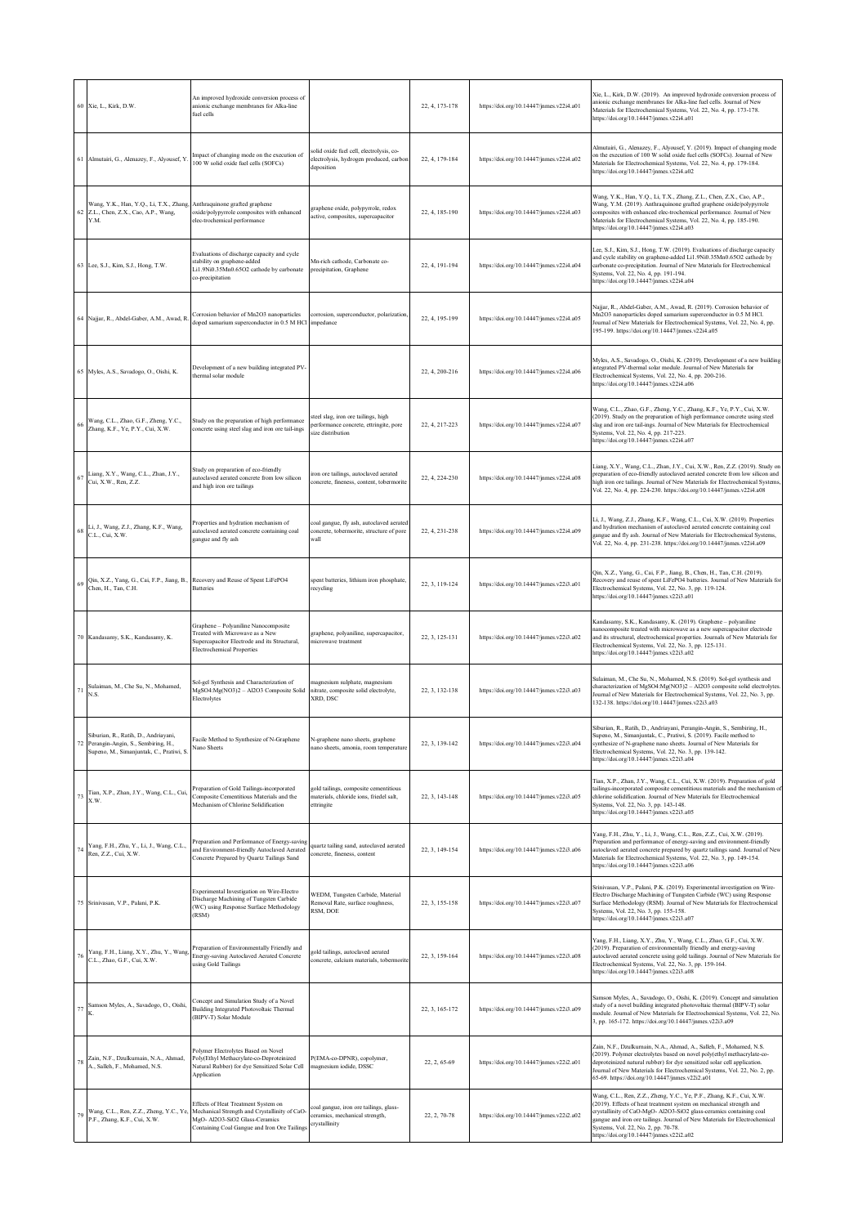|    | 60 Xie, L., Kirk, D.W.                                                                                                 | An improved hydroxide conversion process of<br>anionic exchange membranes for Alka-line<br>fuel cells                                                                  |                                                                                                    | 22, 4, 173-178 | https://doi.org/10.14447/jnmes.v22i4.a01 | Xie, L., Kirk, D.W. (2019). An improved hydroxide conversion process of<br>anionic exchange membranes for Alka-line fuel cells. Journal of New<br>Materials for Electrochemical Systems, Vol. 22, No. 4, pp. 173-178.<br>https://doi.org/10.14447/jnmes.v22i4.a01                                                                                                                   |
|----|------------------------------------------------------------------------------------------------------------------------|------------------------------------------------------------------------------------------------------------------------------------------------------------------------|----------------------------------------------------------------------------------------------------|----------------|------------------------------------------|-------------------------------------------------------------------------------------------------------------------------------------------------------------------------------------------------------------------------------------------------------------------------------------------------------------------------------------------------------------------------------------|
|    | 61 Almutairi, G., Alenazey, F., Alyousef, Y.                                                                           | mpact of changing mode on the execution of<br>100 W solid oxide fuel cells (SOFCs)                                                                                     | solid oxide fuel cell, electrolysis, co-<br>electrolysis, hydrogen produced, carbon<br>deposition  | 22, 4, 179-184 | https://doi.org/10.14447/jnmes.v22i4.a02 | Almutairi, G., Alenazey, F., Alyousef, Y. (2019). Impact of changing mode<br>on the execution of 100 W solid oxide fuel cells (SOFCs). Journal of New<br>Materials for Electrochemical Systems, Vol. 22, No. 4, pp. 179-184.<br>https://doi.org/10.14447/jnmes.v22i4.a02                                                                                                            |
|    | Wang, Y.K., Han, Y.Q., Li, T.X., Zhang,<br>62 Z.L., Chen, Z.X., Cao, A.P., Wang,<br>Y.M.                               | Anthraquinone grafted graphene<br>oxide/polypyrrole composites with enhanced<br>elec-trochemical performance                                                           | graphene oxide, polypyrrole, redox<br>active, composites, supercapacitor                           | 22, 4, 185-190 | https://doi.org/10.14447/jnmes.v22i4.a03 | Wang, Y.K., Han, Y.Q., Li, T.X., Zhang, Z.L., Chen, Z.X., Cao, A.P.,<br>Wang, Y.M. (2019). Anthraquinone grafted graphene oxide/polypyrrole<br>composites with enhanced elec-trochemical performance. Journal of New<br>Materials for Electrochemical Systems, Vol. 22, No. 4, pp. 185-190.<br>https://doi.org/10.14447/jnmes.v22i4.a03                                             |
|    | 63 Lee, S.J., Kim, S.J., Hong, T.W.                                                                                    | Evaluations of discharge capacity and cycle<br>stability on graphene-added<br>Li1.9Ni0.35Mn0.65O2 cathode by carbonate<br>o-precipitation                              | Mn-rich cathode, Carbonate co-<br>precipitation, Graphene                                          | 22, 4, 191-194 | https://doi.org/10.14447/jnmes.v22i4.a04 | Lee, S.J., Kim, S.J., Hong, T.W. (2019). Evaluations of discharge capacity<br>and cycle stability on graphene-added Li1.9Ni0.35Mn0.65O2 cathode by<br>carbonate co-precipitation. Journal of New Materials for Electrochemical<br>Systems, Vol. 22, No. 4, pp. 191-194.<br>https://doi.org/10.14447/jnmes.v22i4.a04                                                                 |
|    | 64 Najjar, R., Abdel-Gaber, A.M., Awad, R.                                                                             | Corrosion behavior of Mn2O3 nanoparticles<br>loped samarium superconductor in 0.5 M HCl                                                                                | corrosion, superconductor, polarization<br>impedance                                               | 22, 4, 195-199 | https://doi.org/10.14447/jnmes.v22i4.a05 | Najjar, R., Abdel-Gaber, A.M., Awad, R. (2019). Corrosion behavior of<br>Mn2O3 nanoparticles doped samarium superconductor in 0.5 M HCl.<br>Journal of New Materials for Electrochemical Systems, Vol. 22, No. 4, pp.<br>195-199. https://doi.org/10.14447/jnmes.v22i4.a05                                                                                                          |
|    | 65 Myles, A.S., Savadogo, O., Oishi, K.                                                                                | Development of a new building integrated PV<br>thermal solar module                                                                                                    |                                                                                                    | 22, 4, 200-216 | https://doi.org/10.14447/jnmes.v22i4.a06 | Myles, A.S., Savadogo, O., Oishi, K. (2019). Development of a new building<br>integrated PV-thermal solar module. Journal of New Materials for<br>Electrochemical Systems, Vol. 22, No. 4, pp. 200-216.<br>https://doi.org/10.14447/jnmes.v22i4.a06                                                                                                                                 |
| 66 | Wang, C.L., Zhao, G.F., Zheng, Y.C.,<br>Zhang, K.F., Ye, P.Y., Cui, X.W.                                               | Study on the preparation of high performance<br>concrete using steel slag and iron ore tail-ings                                                                       | steel slag, iron ore tailings, high<br>performance concrete, ettringite, pore<br>size distribution | 22, 4, 217-223 | https://doi.org/10.14447/jnmes.v22i4.a07 | Wang, C.L., Zhao, G.F., Zheng, Y.C., Zhang, K.F., Ye, P.Y., Cui, X.W.<br>(2019). Study on the preparation of high performance concrete using steel<br>slag and iron ore tail-ings. Journal of New Materials for Electrochemical<br>Systems, Vol. 22, No. 4, pp. 217-223.<br>https://doi.org/10.14447/jnmes.v22i4.a07                                                                |
| 67 | Liang, X.Y., Wang, C.L., Zhan, J.Y.,<br>Cui, X.W., Ren, Z.Z.                                                           | Study on preparation of eco-friendly<br>autoclaved aerated concrete from low silicon<br>and high iron ore tailings                                                     | iron ore tailings, autoclaved aerated<br>concrete, fineness, content, tobermorite                  | 22, 4, 224-230 | https://doi.org/10.14447/jnmes.v22i4.a08 | Liang, X.Y., Wang, C.L., Zhan, J.Y., Cui, X.W., Ren, Z.Z. (2019). Study on<br>preparation of eco-friendly autoclaved aerated concrete from low silicon and<br>high iron ore tailings. Journal of New Materials for Electrochemical Systems,<br>Vol. 22, No. 4, pp. 224-230. https://doi.org/10.14447/jnmes.v22i4.a08                                                                |
| 68 | Li, J., Wang, Z.J., Zhang, K.F., Wang,<br>C.L., Cui, X.W.                                                              | Properties and hydration mechanism of<br>autoclaved aerated concrete containing coal<br>gangue and fly ash                                                             | coal gangue, fly ash, autoclaved aerated<br>concrete, tobermorite, structure of pore<br>wall       | 22, 4, 231-238 | https://doi.org/10.14447/jnmes.v22i4.a09 | Li, J., Wang, Z.J., Zhang, K.F., Wang, C.L., Cui, X.W. (2019). Properties<br>and hydration mechanism of autoclaved aerated concrete containing coal<br>gangue and fly ash. Journal of New Materials for Electrochemical Systems,<br>Vol. 22, No. 4, pp. 231-238. https://doi.org/10.14447/jnmes.v22i4.a09                                                                           |
| 69 | Qin, X.Z., Yang, G., Cai, F.P., Jiang, B., Recovery and Reuse of Spent LiFePO4<br>Chen, H., Tan, C.H.                  | <b>Batteries</b>                                                                                                                                                       | spent batteries, lithium iron phosphate,<br>ecycling                                               | 22, 3, 119-124 | https://doi.org/10.14447/jnmes.v22i3.a01 | Qin, X.Z., Yang, G., Cai, F.P., Jiang, B., Chen, H., Tan, C.H. (2019).<br>Recovery and reuse of spent LiFePO4 batteries. Journal of New Materials for<br>Electrochemical Systems, Vol. 22, No. 3, pp. 119-124.<br>https://doi.org/10.14447/jnmes.v22i3.a01                                                                                                                          |
|    | 70 Kandasamy, S.K., Kandasamy, K.                                                                                      | Graphene - Polyaniline Nanocomposite<br>Freated with Microwave as a New<br>Supercapacitor Electrode and its Structural,<br><b>Electrochemical Properties</b>           | graphene, polyaniline, supercapacitor,<br>microwave treatment                                      | 22, 3, 125-131 | https://doi.org/10.14447/jnmes.v22i3.a02 | Kandasamy, S.K., Kandasamy, K. (2019). Graphene - polyaniline<br>nanocomposite treated with microwave as a new supercapacitor electrode<br>and its structural, electrochemical properties. Journals of New Materials for<br>Electrochemical Systems, Vol. 22, No. 3, pp. 125-131.<br>https://doi.org/10.14447/jnmes.v22i3.a02                                                       |
| 71 | Sulaiman, M., Che Su, N., Mohamed,<br>N.S.                                                                             | Sol-gel Synthesis and Characterization of<br>MgSO4:Mg(NO3)2 - Al2O3 Composite Solid<br>Electrolytes                                                                    | magnesium sulphate, magnesium<br>nitrate, composite solid electrolyte,<br><b>XRD, DSC</b>          | 22.3.132-138   | https://doi.org/10.14447/jnmes.v22i3.a03 | Sulaiman, M., Che Su, N., Mohamed, N.S. (2019). Sol-gel synthesis and<br>characterization of MgSO4:Mg(NO3)2 - Al2O3 composite solid electrolytes<br>Journal of New Materials for Electrochemical Systems, Vol. 22, No. 3, pp.<br>132-138. https://doi.org/10.14447/jnmes.v22i3.a03                                                                                                  |
| 72 | Siburian, R., Ratih, D., Andriayani,<br>Perangin-Angin, S., Sembiring, H.,<br>Supeno, M., Simanjuntak, C., Pratiwi, S. | Facile Method to Synthesize of N-Graphene<br>Nano Sheets                                                                                                               | N-graphene nano sheets, graphene<br>nano sheets, amonia, room temperature                          | 22, 3, 139-142 | https://doi.org/10.14447/jnmes.v22i3.a04 | Siburian, R., Ratih, D., Andriayani, Perangin-Angin, S., Sembiring, H.,<br>Supeno, M., Simanjuntak, C., Pratiwi, S. (2019). Facile method to<br>synthesize of N-graphene nano sheets. Journal of New Materials for<br>Electrochemical Systems, Vol. 22, No. 3, pp. 139-142.<br>https://doi.org/10.14447/jnmes.v22i3.a04                                                             |
| 73 | Tian, X.P., Zhan, J.Y., Wang, C.L., Cui,<br>X.W.                                                                       | Preparation of Gold Tailings-incorporated<br>Composite Cementitious Materials and the<br>Mechanism of Chlorine Solidification                                          | gold tailings, composite cementitious<br>materials, chloride ions, friedel salt,<br>ettringite     | 22, 3, 143-148 | https://doi.org/10.14447/jnmes.v22i3.a05 | Tian, X.P., Zhan, J.Y., Wang, C.L., Cui, X.W. (2019). Preparation of gold<br>tailings-incorporated composite cementitious materials and the mechanism of<br>chlorine solidification. Journal of New Materials for Electrochemical<br>Systems, Vol. 22, No. 3, pp. 143-148.<br>https://doi.org/10.14447/jnmes.v22i3.a05                                                              |
| 74 | Yang, F.H., Zhu, Y., Li, J., Wang, C.L.,<br>Ren, Z.Z., Cui, X.W.                                                       | Preparation and Performance of Energy-saving<br>and Environment-friendly Autoclaved Aerated<br>Concrete Prepared by Quartz Tailings Sand                               | quartz tailing sand, autoclaved aerated<br>concrete, fineness, content                             | 22, 3, 149-154 | https://doi.org/10.14447/jnmes.v22i3.a06 | Yang, F.H., Zhu, Y., Li, J., Wang, C.L., Ren, Z.Z., Cui, X.W. (2019).<br>Preparation and performance of energy-saving and environment-friendly<br>autoclaved aerated concrete prepared by quartz tailings sand. Journal of New<br>Materials for Electrochemical Systems, Vol. 22, No. 3, pp. 149-154.<br>https://doi.org/10.14447/jnmes.v22i3.a06                                   |
|    | 75 Srinivasan, V.P., Palani, P.K.                                                                                      | Experimental Investigation on Wire-Electro<br>Discharge Machining of Tungsten Carbide<br>(WC) using Response Surface Methodology<br>(RSM)                              | WEDM, Tungsten Carbide, Material<br>Removal Rate, surface roughness,<br>RSM, DOE                   | 22, 3, 155-158 | https://doi.org/10.14447/jnmes.v22i3.a07 | Srinivasan, V.P., Palani, P.K. (2019). Experimental investigation on Wire-<br>Electro Discharge Machining of Tungsten Carbide (WC) using Response<br>Surface Methodology (RSM). Journal of New Materials for Electrochemical<br>Systems, Vol. 22, No. 3, pp. 155-158.<br>https://doi.org/10.14447/jnmes.v22i3.a07                                                                   |
| 76 | Yang, F.H., Liang, X.Y., Zhu, Y., Wang,<br>C.L., Zhao, G.F., Cui, X.W.                                                 | Preparation of Environmentally Friendly and<br>Energy-saving Autoclaved Aerated Concrete<br>using Gold Tailings                                                        | gold tailings, autoclaved aerated<br>concrete, calcium materials, tobermorit                       | 22, 3, 159-164 | https://doi.org/10.14447/jnmes.v22i3.a08 | Yang, F.H., Liang, X.Y., Zhu, Y., Wang, C.L., Zhao, G.F., Cui, X.W.<br>(2019). Preparation of environmentally friendly and energy-saving<br>autoclaved aerated concrete using gold tailings. Journal of New Materials for<br>Electrochemical Systems, Vol. 22, No. 3, pp. 159-164.<br>https://doi.org/10.14447/jnmes.v22i3.a08                                                      |
| 77 | Samson Myles, A., Savadogo, O., Oishi,                                                                                 | Concept and Simulation Study of a Novel<br>Building Integrated Photovoltaic Thermal<br>BIPV-T) Solar Module                                                            |                                                                                                    | 22, 3, 165-172 | https://doi.org/10.14447/jnmes.v22i3.a09 | Samson Myles, A., Savadogo, O., Oishi, K. (2019). Concept and simulation<br>study of a novel building integrated photovoltaic thermal (BIPV-T) solar<br>module. Journal of New Materials for Electrochemical Systems, Vol. 22, No.<br>3, pp. 165-172. https://doi.org/10.14447/jnmes.v22i3.a09                                                                                      |
| 78 | Zain, N.F., Dzulkurnain, N.A., Ahmad,<br>A., Salleh, F., Mohamed, N.S.                                                 | Polymer Electrolytes Based on Novel<br>Poly(Ethyl Methacrylate-co-Deproteinized<br>Natural Rubber) for dye Sensitized Solar Cell<br>Application                        | P(EMA-co-DPNR), copolymer,<br>magnesium iodide, DSSC                                               | 22, 2, 65-69   | https://doi.org/10.14447/jnmes.v22i2.a01 | Zain, N.F., Dzulkurnain, N.A., Ahmad, A., Salleh, F., Mohamed, N.S.<br>(2019). Polymer electrolytes based on novel poly(ethyl methacrylate-co-<br>deproteinized natural rubber) for dye sensitized solar cell application.<br>Journal of New Materials for Electrochemical Systems, Vol. 22, No. 2, pp.<br>65-69. https://doi.org/10.14447/jnmes.v22i2.a01                          |
| 79 | Wang, C.L., Ren, Z.Z., Zheng, Y.C., Ye,<br>P.F., Zhang, K.F., Cui, X.W.                                                | Effects of Heat Treatment System on<br>Mechanical Strength and Crystallinity of CaO-<br>MgO- Al2O3-SiO2 Glass-Ceramics<br>Containing Coal Gangue and Iron Ore Tailings | coal gangue, iron ore tailings, glass-<br>ceramics, mechanical strength,<br>crystallinity          | 22, 2, 70-78   | https://doi.org/10.14447/jnmes.v22i2.a02 | Wang, C.L., Ren, Z.Z., Zheng, Y.C., Ye, P.F., Zhang, K.F., Cui, X.W.<br>(2019). Effects of heat treatment system on mechanical strength and<br>crystallinity of CaO-MgO- Al2O3-SiO2 glass-ceramics containing coal<br>gangue and iron ore tailings. Journal of New Materials for Electrochemical<br>Systems, Vol. 22, No. 2, pp. 70-78.<br>https://doi.org/10.14447/jnmes.v22i2.a02 |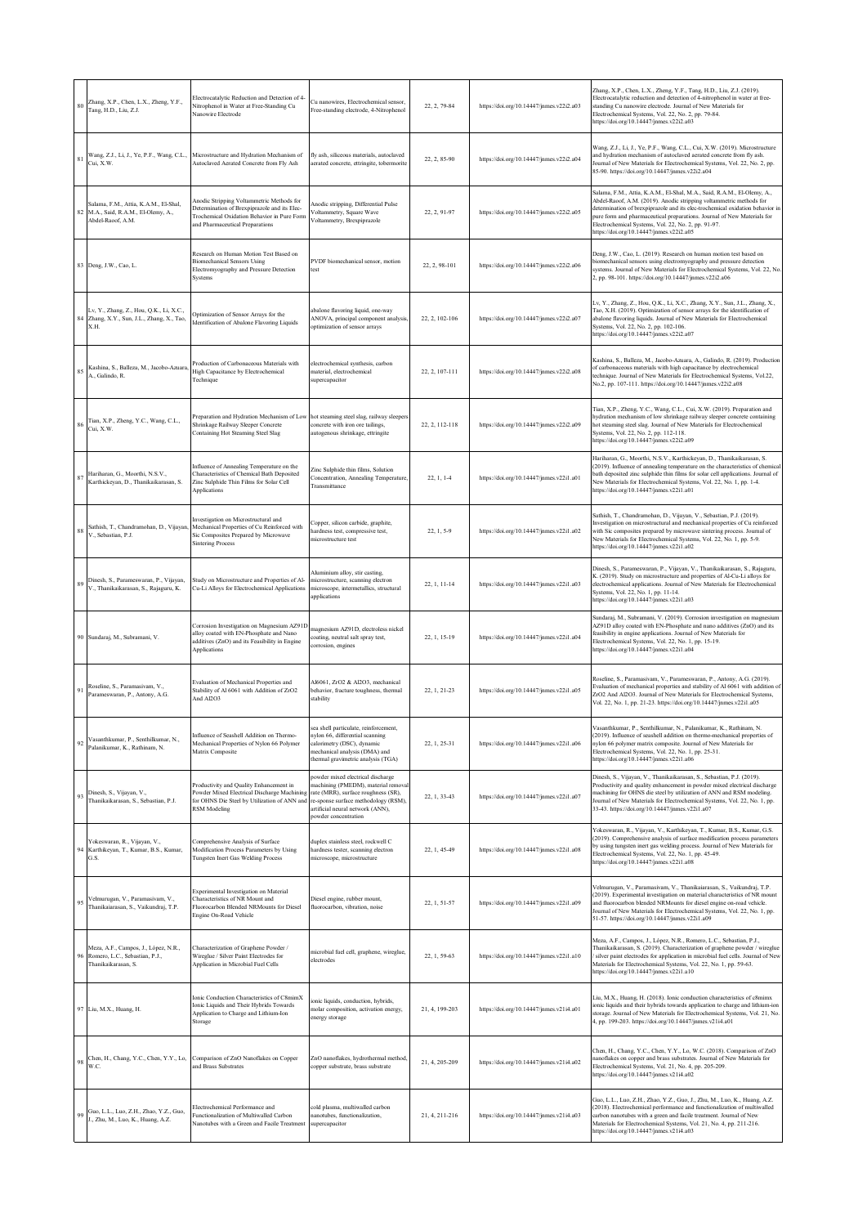| $80\,$ | Zhang, X.P., Chen, L.X., Zheng, Y.F.,<br>Tang, H.D., Liu, Z.J.                                  | Electrocatalytic Reduction and Detection of 4-<br>Nitrophenol in Water at Free-Standing Cu<br>Nanowire Electrode                                                            | Cu nanowires, Electrochemical sensor,<br>Free-standing electrode, 4-Nitrophenol                                                                                                                                  | 22, 2, 79-84   | https://doi.org/10.14447/jnmes.v22i2.a03 | Zhang, X.P., Chen, L.X., Zheng, Y.F., Tang, H.D., Liu, Z.J. (2019).<br>Electrocatalytic reduction and detection of 4-nitrophenol in water at free-<br>standing Cu nanowire electrode. Journal of New Materials for<br>Electrochemical Systems, Vol. 22, No. 2, pp. 79-84.<br>https://doi.org/10.14447/jnmes.v22i2.a03                                                                                         |
|--------|-------------------------------------------------------------------------------------------------|-----------------------------------------------------------------------------------------------------------------------------------------------------------------------------|------------------------------------------------------------------------------------------------------------------------------------------------------------------------------------------------------------------|----------------|------------------------------------------|---------------------------------------------------------------------------------------------------------------------------------------------------------------------------------------------------------------------------------------------------------------------------------------------------------------------------------------------------------------------------------------------------------------|
| 81     | Cui, X.W.                                                                                       | Wang, Z.J., Li, J., Ye, P.F., Wang, C.L., Microstructure and Hydration Mechanism of<br>Autoclaved Aerated Concrete from Fly Ash                                             | fly ash, siliceous materials, autoclaved<br>aerated concrete, ettringite, tobermorite                                                                                                                            | 22, 2, 85-90   | https://doi.org/10.14447/jnmes.v22i2.a04 | Wang, Z.J., Li, J., Ye, P.F., Wang, C.L., Cui, X.W. (2019). Microstructure<br>and hydration mechanism of autoclaved aerated concrete from fly ash.<br>Journal of New Materials for Electrochemical Systems, Vol. 22, No. 2, pp.<br>85-90. https://doi.org/10.14447/jnmes.v22i2.a04                                                                                                                            |
| 82     | Salama, F.M., Attia, K.A.M., El-Shal,<br>M.A., Said, R.A.M., El-Olemy, A.,<br>Abdel-Raoof, A.M. | Anodic Stripping Voltammetric Methods for<br>Determination of Brexpiprazole and its Elec-<br>Trochemical Oxidation Behavior in Pure Form<br>and Pharmaceutical Preparations | anodic stripping, Differential Pulse<br>Voltammetry, Square Wave<br>/oltammetry, Brexpiprazole                                                                                                                   | 22, 2, 91-97   | https://doi.org/10.14447/jnmes.v22i2.a05 | Salama, F.M., Attia, K.A.M., El-Shal, M.A., Said, R.A.M., El-Olemy, A.,<br>Abdel-Raoof, A.M. (2019). Anodic stripping voltammetric methods for<br>determination of brexpiprazole and its elec-trochemical oxidation behavior in<br>pure form and pharmaceutical preparations. Journal of New Materials for<br>Electrochemical Systems, Vol. 22, No. 2, pp. 91-97.<br>https://doi.org/10.14447/jnmes.v22i2.a05 |
|        | 83 Deng, J.W., Cao, L.                                                                          | Research on Human Motion Test Based on<br><b>Biomechanical Sensors Using</b><br>Electromyography and Pressure Detection<br>Systems                                          | PVDF biomechanical sensor, motion<br>test                                                                                                                                                                        | 22, 2, 98-101  | https://doi.org/10.14447/jnmes.v22i2.a06 | Deng, J.W., Cao, L. (2019). Research on human motion test based on<br>biomechanical sensors using electromyography and pressure detection<br>systems. Journal of New Materials for Electrochemical Systems, Vol. 22, No.<br>2, pp. 98-101. https://doi.org/10.14447/jnmes.v22i2.a06                                                                                                                           |
|        | Lv, Y., Zhang, Z., Hou, Q.K., Li, X.C.,<br>84 Zhang, X.Y., Sun, J.L., Zhang, X., Tao,<br>X.H.   | Optimization of Sensor Arrays for the<br>dentification of Abalone Flavoring Liquids                                                                                         | abalone flavoring liquid, one-way<br>ANOVA, principal component analysis<br>optimization of sensor arrays                                                                                                        | 22, 2, 102-106 | https://doi.org/10.14447/jnmes.v22i2.a07 | Lv, Y., Zhang, Z., Hou, Q.K., Li, X.C., Zhang, X.Y., Sun, J.L., Zhang, X.,<br>Tao, X.H. (2019). Optimization of sensor arrays for the identification of<br>abalone flavoring liquids. Journal of New Materials for Electrochemical<br>Systems, Vol. 22, No. 2, pp. 102-106.<br>https://doi.org/10.14447/jnmes.v22i2.a07                                                                                       |
| 85     | Kashina, S., Balleza, M., Jacobo-Azuara<br>A., Galindo, R.                                      | Production of Carbonaceous Materials with<br>High Capacitance by Electrochemical<br>Technique                                                                               | electrochemical synthesis, carbon<br>naterial, electrochemical<br>upercapacitor                                                                                                                                  | 22, 2, 107-111 | https://doi.org/10.14447/jnmes.v22i2.a08 | Kashina, S., Balleza, M., Jacobo-Azuara, A., Galindo, R. (2019). Production<br>of carbonaceous materials with high capacitance by electrochemical<br>technique. Journal of New Materials for Electrochemical Systems, Vol.22,<br>No.2, pp. 107-111. https://doi.org/10.14447/jnmes.v22i2.a08                                                                                                                  |
| 86     | Tian, X.P., Zheng, Y.C., Wang, C.L.,<br>Cui, X.W.                                               | Preparation and Hydration Mechanism of Low<br>Shrinkage Railway Sleeper Concrete<br>Containing Hot Steaming Steel Slag                                                      | hot steaming steel slag, railway sleeper<br>oncrete with iron ore tailings,<br>autogenous shrinkage, ettringite                                                                                                  | 22, 2, 112-118 | https://doi.org/10.14447/jnmes.v22i2.a09 | Tian, X.P., Zheng, Y.C., Wang, C.L., Cui, X.W. (2019). Preparation and<br>hydration mechanism of low shrinkage railway sleeper concrete containing<br>hot steaming steel slag. Journal of New Materials for Electrochemical<br>Systems, Vol. 22, No. 2, pp. 112-118.<br>https://doi.org/10.14447/jnmes.v22i2.a09                                                                                              |
|        | Hariharan, G., Moorthi, N.S.V.,<br>Karthickeyan, D., Thanikaikarasan, S.                        | Influence of Annealing Temperature on the<br>Characteristics of Chemical Bath Deposited<br>Zinc Sulphide Thin Films for Solar Cell<br>Applications                          | Zinc Sulphide thin films, Solution<br>Concentration, Annealing Temperature,<br>Transmittance                                                                                                                     | $22, 1, 1-4$   | https://doi.org/10.14447/jnmes.v22i1.a01 | Hariharan, G., Moorthi, N.S.V., Karthickeyan, D., Thanikaikarasan, S.<br>(2019). Influence of annealing temperature on the characteristics of chemical<br>bath deposited zinc sulphide thin films for solar cell applications. Journal of<br>New Materials for Electrochemical Systems, Vol. 22, No. 1, pp. 1-4.<br>https://doi.org/10.14447/jnmes.v22i1.a01                                                  |
| 88     | Sathish, T., Chandramohan, D., Vijayan,<br>V., Sebastian, P.J.                                  | Investigation on Microstructural and<br>Mechanical Properties of Cu Reinforced with<br>Sic Composites Prepared by Microwave<br><b>Sintering Process</b>                     | Copper, silicon carbide, graphite,<br>ardness test, compressive test,<br>microstructure test                                                                                                                     | $22.1.5 - 9$   | https://doi.org/10.14447/jnmes.v22i1.a02 | Sathish, T., Chandramohan, D., Vijayan, V., Sebastian, P.J. (2019).<br>Investigation on microstructural and mechanical properties of Cu reinforced<br>with Sic composites prepared by microwave sintering process. Journal of<br>New Materials for Electrochemical Systems, Vol. 22, No. 1, pp. 5-9.<br>https://doi.org/10.14447/jnmes.v22i1.a02                                                              |
| 89     | Dinesh, S., Parameswaran, P., Vijayan,<br>V., Thanikaikarasan, S., Rajaguru, K.                 | Study on Microstructure and Properties of Al-<br>Cu-Li Alloys for Electrochemical Applications                                                                              | Aluminium alloy, stir casting,<br>microstructure, scanning electron<br>microscope, intermetallics, structural<br>applications                                                                                    | 22, 1, 11-14   | https://doi.org/10.14447/jnmes.v22i1.a03 | Dinesh, S., Parameswaran, P., Vijayan, V., Thanikaikarasan, S., Rajaguru,<br>K. (2019). Study on microstructure and properties of Al-Cu-Li alloys for<br>electrochemical applications. Journal of New Materials for Electrochemical<br>Systems, Vol. 22, No. 1, pp. 11-14.<br>https://doi.org/10.14447/jnmes.v22i1.a03                                                                                        |
|        | 90 Sundaraj, M., Subramani, V.                                                                  | Corrosion Investigation on Magnesium AZ91D<br>alloy coated with EN-Phosphate and Nano<br>additives (ZnO) and its Feasibility in Engine<br>Applications                      | nagnesium AZ91D, electroless nickel<br>coating, neutral salt spray test,<br>corrosion, engines                                                                                                                   | 22, 1, 15-19   | https://doi.org/10.14447/jnmes.v22i1.a04 | Sundaraj, M., Subramani, V. (2019). Corrosion investigation on magnesium<br>AZ91D alloy coated with EN-Phosphate and nano additives (ZnO) and its<br>feasibility in engine applications. Journal of New Materials for<br>Electrochemical Systems, Vol. 22, No. 1, pp. 15-19.<br>https://doi.org/10.14447/jnmes.v22i1.a04                                                                                      |
| 91     | Roseline, S., Paramasivam, V.,<br>Parameswaran, P., Antony, A.G.                                | Evaluation of Mechanical Properties and<br>Stability of Al 6061 with Addition of ZrO2<br>And Al2O3                                                                          | Al6061, ZrO2 & Al2O3, mechanical<br>behavior, fracture toughness, thermal<br>stability                                                                                                                           | 22, 1, 21-23   | https://doi.org/10.14447/jnmes.v22i1.a05 | Roseline, S., Paramasivam, V., Parameswaran, P., Antony, A.G. (2019).<br>Evaluation of mechanical properties and stability of Al 6061 with addition of<br>ZrO2 And Al2O3. Journal of New Materials for Electrochemical Systems,<br>Vol. 22, No. 1, pp. 21-23. https://doi.org/10.14447/jnmes.v22i1.a05                                                                                                        |
| $92\,$ | Vasanthkumar, P., Senthilkumar, N.,<br>Palanikumar, K., Rathinam, N.                            | Influence of Seashell Addition on Thermo-<br>Mechanical Properties of Nylon 66 Polymer<br>Matrix Composite                                                                  | sea shell particulate, reinforcement,<br>nylon 66, differential scanning<br>calorimetry (DSC), dynamic<br>nechanical analysis (DMA) and<br>thermal gravimetric analysis (TGA)                                    | 22, 1, 25-31   | https://doi.org/10.14447/jnmes.v22i1.a06 | Vasanthkumar, P., Senthilkumar, N., Palanikumar, K., Rathinam, N.<br>(2019). Influence of seashell addition on thermo-mechanical properties of<br>nylon 66 polymer matrix composite. Journal of New Materials for<br>Electrochemical Systems, Vol. 22, No. 1, pp. 25-31.<br>https://doi.org/10.14447/jnmes.v22i1.a06                                                                                          |
| 93     | Dinesh, S., Vijayan, V.,<br>Thanikaikarasan, S., Sebastian, P.J.                                | Productivity and Quality Enhancement in<br>Powder Mixed Electrical Discharge Machining<br>for OHNS Die Steel by Utilization of ANN and<br><b>RSM</b> Modeling               | owder mixed electrical discharge<br>machining (PMEDM), material remova<br>rate (MRR), surface roughness (SR),<br>e-sponse surface methodology (RSM),<br>artificial neural network (ANN).<br>bowder concentration | 22, 1, 33-43   | https://doi.org/10.14447/jnmes.v22i1.a07 | Dinesh, S., Vijayan, V., Thanikaikarasan, S., Sebastian, P.J. (2019).<br>Productivity and quality enhancement in powder mixed electrical discharge<br>machining for OHNS die steel by utilization of ANN and RSM modeling.<br>Journal of New Materials for Electrochemical Systems, Vol. 22, No. 1, pp.<br>33-43. https://doi.org/10.14447/jnmes.v22i1.a07                                                    |
|        | Yokeswaran, R., Vijayan, V.,<br>Karthikeyan, T., Kumar, B.S., Kumar,<br>G.S.                    | Comprehensive Analysis of Surface<br>Modification Process Parameters by Using<br>Tungsten Inert Gas Welding Process                                                         | duplex stainless steel, rockwell C<br>hardness tester, scanning electron<br>microscope, microstructure                                                                                                           | 22, 1, 45-49   | https://doi.org/10.14447/jnmes.v22i1.a08 | Yokeswaran, R., Vijayan, V., Karthikeyan, T., Kumar, B.S., Kumar, G.S.<br>(2019). Comprehensive analysis of surface modification process parameters<br>by using tungsten inert gas welding process. Journal of New Materials for<br>Electrochemical Systems, Vol. 22, No. 1, pp. 45-49.<br>https://doi.org/10.14447/jnmes.v22i1.a08                                                                           |
| 95     | Velmurugan, V., Paramasivam, V.,<br>Thanikaiarasan, S., Vaikundraj, T.P.                        | Experimental Investigation on Material<br>Characteristics of NR Mount and<br>Fluorocarbon Blended NRMounts for Diesel<br>Engine On-Road Vehicle                             | Diesel engine, rubber mount,<br>fluorocarbon, vibration, noise                                                                                                                                                   | 22, 1, 51-57   | https://doi.org/10.14447/jnmes.v22i1.a09 | Velmurugan, V., Paramasivam, V., Thanikaiarasan, S., Vaikundraj, T.P.<br>(2019). Experimental investigation on material characteristics of NR mount<br>and fluorocarbon blended NRMounts for diesel engine on-road vehicle.<br>Journal of New Materials for Electrochemical Systems, Vol. 22, No. 1, pp.<br>51-57. https://doi.org/10.14447/jnmes.v22i1.a09                                                   |
| 96     | Meza, A.F., Campos, J., López, N.R.,<br>Romero, L.C., Sebastian, P.J.,<br>Thanikaikarasan, S.   | Characterization of Graphene Powder /<br>Wireglue / Silver Paint Electrodes for<br>Application in Microbial Fuel Cells                                                      | microbial fuel cell, graphene, wireglue,<br>electrodes                                                                                                                                                           | 22, 1, 59-63   | https://doi.org/10.14447/jnmes.v22i1.a10 | Meza, A.F., Campos, J., López, N.R., Romero, L.C., Sebastian, P.J.,<br>Thanikaikarasan, S. (2019). Characterization of graphene powder / wireglue<br>silver paint electrodes for application in microbial fuel cells. Journal of New<br>Materials for Electrochemical Systems, Vol. 22, No. 1, pp. 59-63.<br>https://doi.org/10.14447/jnmes.v22i1.a10                                                         |
|        | 97 Liu, M.X., Huang, H.                                                                         | Ionic Conduction Characteristics of C8mimX<br>Ionic Liquids and Their Hybrids Towards<br>Application to Charge and Lithium-Ion<br>Storage                                   | onic liquids, conduction, hybrids,<br>nolar composition, activation energy,<br>nergy storage                                                                                                                     | 21, 4, 199-203 | https://doi.org/10.14447/jnmes.v21i4.a01 | Liu, M.X., Huang, H. (2018). Ionic conduction characteristics of c8mimx<br>onic liquids and their hybrids towards application to charge and lithium-ion<br>storage. Journal of New Materials for Electrochemical Systems, Vol. 21, No.<br>4, pp. 199-203. https://doi.org/10.14447/jnmes.v21i4.a01                                                                                                            |
| 98     | Chen, H., Chang, Y.C., Chen, Y.Y., Lo,<br>W.C.                                                  | Comparison of ZnO Nanoflakes on Copper<br>and Brass Substrates                                                                                                              | ZnO nanoflakes, hydrothermal method,<br>opper substrate, brass substrate                                                                                                                                         | 21, 4, 205-209 | https://doi.org/10.14447/jnmes.v21i4.a02 | Chen, H., Chang, Y.C., Chen, Y.Y., Lo, W.C. (2018). Comparison of ZnO<br>nanoflakes on copper and brass substrates. Journal of New Materials for<br>Electrochemical Systems, Vol. 21, No. 4, pp. 205-209.<br>https://doi.org/10.14447/jnmes.v21i4.a02                                                                                                                                                         |
| 99     | Guo, L.L., Luo, Z.H., Zhao, Y.Z., Guo,<br>J., Zhu, M., Luo, K., Huang, A.Z.                     | Electrochemical Performance and<br>Functionalization of Multiwalled Carbon<br>Nanotubes with a Green and Facile Treatment                                                   | cold plasma, multiwalled carbon<br>anotubes, functionalization.<br>upercapacitor                                                                                                                                 | 21, 4, 211-216 | https://doi.org/10.14447/jnmes.v21i4.a03 | Guo, L.L., Luo, Z.H., Zhao, Y.Z., Guo, J., Zhu, M., Luo, K., Huang, A.Z.<br>(2018). Electrochemical performance and functionalization of multiwalled<br>carbon nanotubes with a green and facile treatment. Journal of New<br>Materials for Electrochemical Systems, Vol. 21, No. 4, pp. 211-216.<br>https://doi.org/10.14447/jnmes.v21i4.a03                                                                 |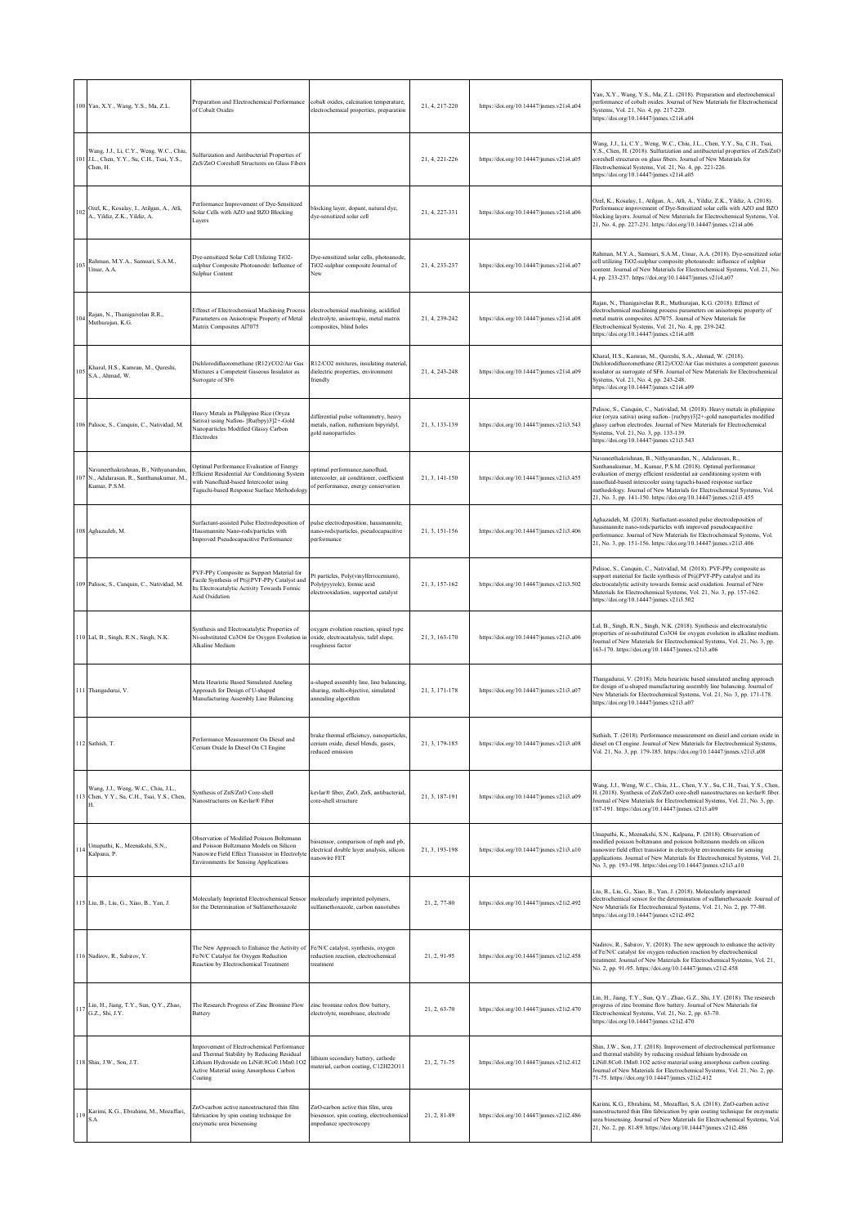|              | 100 Yan, X.Y., Wang, Y.S., Ma, Z.L.                                                                  | Preparation and Electrochemical Performance<br>of Cobalt Oxides                                                                                                                          | cobalt oxides, calcination temperature.<br>electrochemical properties, preparation                                 | 21, 4, 217-220 | https://doi.org/10.14447/jnmes.v21i4.a04 | Yan, X.Y., Wang, Y.S., Ma, Z.L. (2018). Preparation and electrochemical<br>erformance of cobalt oxides. Journal of New Materials for Electrochemical<br>Systems, Vol. 21, No. 4, pp. 217-220.<br>https://doi.org/10.14447/jnmes.v21i4.a04                                                                                                                                                                               |
|--------------|------------------------------------------------------------------------------------------------------|------------------------------------------------------------------------------------------------------------------------------------------------------------------------------------------|--------------------------------------------------------------------------------------------------------------------|----------------|------------------------------------------|-------------------------------------------------------------------------------------------------------------------------------------------------------------------------------------------------------------------------------------------------------------------------------------------------------------------------------------------------------------------------------------------------------------------------|
|              | Wang, J.J., Li, C.Y., Weng, W.C., Chiu,<br>101 J.L., Chen, Y.Y., Su, C.H., Tsai, Y.S.,<br>Chen, H.   | Sulfurization and Antibacterial Properties of<br>ZnS/ZnO Coreshell Structures on Glass Fibers                                                                                            |                                                                                                                    | 21, 4, 221-226 | https://doi.org/10.14447/jnmes.v21i4.a05 | Wang, J.J., Li, C.Y., Weng, W.C., Chiu, J.L., Chen, Y.Y., Su, C.H., Tsai,<br>Y.S., Chen, H. (2018). Sulfurization and antibacterial properties of ZnS/ZnO<br>coreshell structures on glass fibers. Journal of New Materials for<br>Electrochemical Systems, Vol. 21, No. 4, pp. 221-226.<br>https://doi.org/10.14447/jnmes.v21i4.a05                                                                                    |
| 102          | Ozel, K., Kosalay, I., Atilgan, A., Atli,<br>A., Yildiz, Z.K., Yildiz, A.                            | Performance Improvement of Dye-Sensitized<br>Solar Cells with AZO and BZO Blocking<br>Layers                                                                                             | blocking layer, dopant, natural dye,<br>dye-sensitized solar cell                                                  | 21, 4, 227-331 | https://doi.org/10.14447/jnmes.v21i4.a06 | Ozel, K., Kosalay, I., Atilgan, A., Atli, A., Yildiz, Z.K., Yildiz, A. (2018).<br>Performance improvement of Dye-Sensitized solar cells with AZO and BZO<br>blocking layers. Journal of New Materials for Electrochemical Systems, Vol.<br>21, No. 4, pp. 227-231. https://doi.org/10.14447/jnmes.v21i4.a06                                                                                                             |
| $10^{\circ}$ | Rahman, M.Y.A., Samsuri, S.A.M.,<br>Umar, A.A.                                                       | Dye-sensitized Solar Cell Utilizing TiO2-<br>sulphur Composite Photoanode: Influence of<br>Sulphur Content                                                                               | Dye-sensitized solar cells, photoanode,<br>TiO2-sulphur composite Journal of<br>New                                | 21, 4, 233-237 | https://doi.org/10.14447/jnmes.v21i4.a07 | Rahman, M.Y.A., Samsuri, S.A.M., Umar, A.A. (2018). Dye-sensitized solar<br>cell utilizing TiO2-sulphur composite photoanode: influence of sulphur<br>content. Journal of New Materials for Electrochemical Systems, Vol. 21, No.<br>4, pp. 233-237. https://doi.org/10.14447/jnmes.v21i4.a07                                                                                                                           |
| 104          | Rajan, N., Thanigaivelan R.R.,<br>Muthurajan, K.G.                                                   | Effenct of Electrochemical Machining Process<br>Parameters on Anisotropic Property of Metal<br>Matrix Composites Al7075                                                                  | electrochemical machining, acidified<br>electrolyte, anisotropic, metal matrix<br>composites, blind holes          | 21, 4, 239-242 | https://doi.org/10.14447/jnmes.v21i4.a08 | Rajan, N., Thanigaivelan R.R., Muthurajan, K.G. (2018). Effenct of<br>electrochemical machining process parameters on anisotropic property of<br>metal matrix composites Al7075. Journal of New Materials for<br>Electrochemical Systems, Vol. 21, No. 4, pp. 239-242.<br>https://doi.org/10.14447/jnmes.v21i4.a08                                                                                                      |
| 105          | Kharal, H.S., Kamran, M., Qureshi,<br>S.A., Ahmad, W.                                                | Dichlorodifluoromethane (R12)/CO2/Air Gas<br>Mixtures a Competent Gaseous Insulator as<br>Surrogate of SF6                                                                               | R12/CO2 mixtures, insulating material,<br>dielectric properties, environment<br>friendly                           | 21, 4, 243-248 | https://doi.org/10.14447/jnmes.v21i4.a09 | Kharal, H.S., Kamran, M., Qureshi, S.A., Ahmad, W. (2018).<br>Dichlorodifluoromethane (R12)/CO2/Air Gas mixtures a competent gaseous<br>insulator as surrogate of SF6. Journal of New Materials for Electrochemical<br>Systems, Vol. 21, No. 4, pp. 243-248.<br>https://doi.org/10.14447/jnmes.v21i4.a09                                                                                                                |
|              | 106 Palisoc, S., Canquin, C., Natividad, M.                                                          | Heavy Metals in Philippine Rice (Oryza<br>Sativa) using Nafion- [Ru(bpy)3]2+-Gold<br>Nanoparticles Modified Glassy Carbon<br>Electrodes                                                  | differential pulse voltammetry, heavy<br>netals, nafion, ruthenium bipyridyl,<br>gold nanoparticles                | 21, 3, 133-139 | https://doi.org/10.14447/jnmes.v21i3.543 | Palisoc, S., Canquin, C., Natividad, M. (2018). Heavy metals in philippine<br>rice (oryza sativa) using nafion- [ru(bpy)3]2+-gold nanoparticles modified<br>glassy carbon electrodes. Journal of New Materials for Electrochemical<br>Systems, Vol. 21, No. 3, pp. 133-139.<br>https://doi.org/10.14447/jnmes.v21i3.543                                                                                                 |
|              | Navaneethakrishnan, B., Nithyanandan,<br>107 N., Adalarasan, R., Santhanakumar, M.,<br>Kumar, P.S.M. | Optimal Performance Evaluation of Energy<br>Efficient Residential Air Conditioning System<br>with Nanofluid-based Intercooler using<br>Taguchi-based Response Surface Methodology        | optimal performance, nanofluid,<br>ntercooler, air conditioner, coefficient<br>of performance, energy conservation | 21, 3, 141-150 | https://doi.org/10.14447/jnmes.v21i3.455 | Navaneethakrishnan, B., Nithyanandan, N., Adalarasan, R.,<br>Santhanakumar, M., Kumar, P.S.M. (2018). Optimal performance<br>evaluation of energy efficient residential air conditioning system with<br>nanofluid-based intercooler using taguchi-based response surface<br>methodology. Journal of New Materials for Electrochemical Systems, Vol.<br>21, No. 3, pp. 141-150. https://doi.org/10.14447/jnmes.v21i3.455 |
|              | 108 Aghazadeh, M.                                                                                    | Surfactant-assisted Pulse Electrodeposition of<br>Iausmannite Nano-rods/particles with<br>mproved Pseudocapacitive Performance                                                           | pulse electrodeposition, hausmannite,<br>nano-rods/particles, pseudocapacitive<br>erformance                       | 21, 3, 151-156 | https://doi.org/10.14447/jnmes.v21i3.406 | Aghazadeh, M. (2018). Surfactant-assisted pulse electrodeposition of<br>hausmannite nano-rods/particles with improved pseudocapacitive<br>erformance. Journal of New Materials for Electrochemical Systems, Vol.<br>21, No. 3, pp. 151-156. https://doi.org/10.14447/jnmes.v21i3.406                                                                                                                                    |
|              | 109 Palisoc, S., Canquin, C., Natividad, M.                                                          | PVF-PPy Composite as Support Material for<br>Facile Synthesis of Pt@PVF-PPy Catalyst and<br>Its Electrocatalytic Activity Towards Formic<br><b>Acid Oxidation</b>                        | Pt particles, Poly(vinylferrocenium),<br>Poly(pyyrole), formic acid<br>electrooxidation, supported catalyst        | 21, 3, 157-162 | https://doi.org/10.14447/jnmes.v21i3.502 | Palisoc, S., Canquin, C., Natividad, M. (2018). PVF-PPy composite as<br>support material for facile synthesis of Pt@PVF-PPy catalyst and its<br>electrocatalytic activity towards formic acid oxidation. Journal of New<br>Materials for Electrochemical Systems, Vol. 21, No. 3, pp. 157-162.<br>https://doi.org/10.14447/jnmes.v21i3.502                                                                              |
|              | 110 Lal, B., Singh, R.N., Singh, N.K.                                                                | Synthesis and Electrocatalytic Properties of<br>Ni-substituted Co3O4 for Oxygen Evolution i<br>Alkaline Medium                                                                           | oxygen evolution reaction, spinel type<br>oxide, electrocatalysis, tafel slope,<br>roughness factor                | 21, 3, 163-170 | https://doi.org/10.14447/jnmes.v21i3.a06 | Lal, B., Singh, R.N., Singh, N.K. (2018). Synthesis and electrocatalytic<br>properties of ni-substituted Co3O4 for oxygen evolution in alkaline medium.<br>Journal of New Materials for Electrochemical Systems, Vol. 21, No. 3, pp.<br>163-170. https://doi.org/10.14447/jnmes.v21i3.a06                                                                                                                               |
|              | 111 Thangadurai, V.                                                                                  | Meta Heuristic Based Simulated Aneling<br>Approach for Design of U-shaped<br>Manufacturing Assembly Line Balancing                                                                       | u-shaped assembly line, line balancing,<br>sharing, multi-objective, simulated<br>annealing algorithm              | 21, 3, 171-178 | https://doi.org/10.14447/jnmes.v21i3.a07 | Thangadurai, V. (2018). Meta heuristic based simulated aneling approach<br>for design of u-shaped manufacturing assembly line balancing. Journal of<br>New Materials for Electrochemical Systems, Vol. 21, No. 3, pp. 171-178.<br>https://doi.org/10.14447/jnmes.v21i3.a07                                                                                                                                              |
|              | 112 Sathish, T.                                                                                      | Performance Measurement On Diesel and<br>Cerium Oxide In Diesel On CI Engine                                                                                                             | brake thermal efficiency, nanoparticles,<br>cerium oxide, diesel blends, gases,<br>reduced emission                | 21, 3, 179-185 | https://doi.org/10.14447/jnmes.v21i3.a08 | Sathish, T. (2018). Performance measurement on diesel and cerium oxide in<br>diesel on CI engine. Journal of New Materials for Electrochemical Systems,<br>Vol. 21, No. 3, pp. 179-185. https://doi.org/10.14447/jnmes.v21i3.a08                                                                                                                                                                                        |
|              | Wang, J.J., Weng, W.C., Chiu, J.L.,<br>113 Chen, Y.Y., Su, C.H., Tsai, Y.S., Chen,<br>Н.             | Synthesis of ZnS/ZnO Core-shell<br><b>Nanostructures on Kevlar® Fiber</b>                                                                                                                | kevlar® fiber, ZnO, ZnS, antibacterial,<br>ore-shell structure                                                     | 21, 3, 187-191 | https://doi.org/10.14447/jnmes.v21i3.a09 | Wang, J.J., Weng, W.C., Chiu, J.L., Chen, Y.Y., Su, C.H., Tsai, Y.S., Chen,<br>H. (2018). Synthesis of ZnS/ZnO core-shell nanostructures on kevlar® fiber.<br>Journal of New Materials for Electrochemical Systems, Vol. 21, No. 3, pp.<br>187-191. https://doi.org/10.14447/jnmes.v21i3.a09                                                                                                                            |
| 114          | Umapathi, K., Meenakshi, S.N.,<br>Kalpana, P.                                                        | Observation of Modified Poisson Boltzmann<br>and Poisson Boltzmann Models on Silicon<br>Nanowire Field Effect Transistor in Electrolyte<br><b>Environments for Sensing Applications</b>  | iosensor, comparison of mpb and pb,<br>electrical double layer analysis, silicon<br>nanowire FET                   | 21, 3, 193-198 | https://doi.org/10.14447/jnmes.v21i3.a10 | Jmapathi, K., Meenakshi, S.N., Kalpana, P. (2018). Observation of<br>modified poisson boltzmann and poisson boltzmann models on silicon<br>nanowire field effect transistor in electrolyte environments for sensing<br>applications. Journal of New Materials for Electrochemical Systems, Vol. 21,<br>No. 3, pp. 193-198. https://doi.org/10.14447/jnmes.v21i3.a10                                                     |
|              | 115 Liu, B., Liu, G., Xiao, B., Yan, J.                                                              | Molecularly Imprinted Electrochemical Sensor<br>for the Determination of Sulfamethoxazole                                                                                                | molecularly imprinted polymers,<br>sulfamethoxazole, carbon nanotubes                                              | 21, 2, 77-80   | https://doi.org/10.14447/jnmes.v21i2.492 | Liu, B., Liu, G., Xiao, B., Yan, J. (2018). Molecularly imprinted<br>electrochemical sensor for the determination of sulfamethoxazole. Journal of<br>New Materials for Electrochemical Systems, Vol. 21, No. 2, pp. 77-80.<br>https://doi.org/10.14447/jnmes.v21i2.492                                                                                                                                                  |
|              | 116 Nadirov, R., Sabirov, Y.                                                                         | The New Approach to Enhance the Activity of<br>Fe/N/C Catalyst for Oxygen Reduction<br>Reaction by Electrochemical Treatment                                                             | Fe/N/C catalyst, synthesis, oxygen<br>reduction reaction, electrochemical<br>treatment                             | 21, 2, 91-95   | https://doi.org/10.14447/jnmes.v21i2.458 | Nadirov, R., Sabirov, Y. (2018). The new approach to enhance the activity<br>of Fe/N/C catalyst for oxygen reduction reaction by electrochemical<br>treatment. Journal of New Materials for Electrochemical Systems, Vol. 21,<br>No. 2, pp. 91-95. https://doi.org/10.14447/jnmes.v21i2.458                                                                                                                             |
|              | $\lim_{C \to \infty}$ H., Jiang, T.Y., Sun, Q.Y., Zhao,<br>G.Z., Shi, J.Y.                           | The Research Progress of Zinc Bromine Flow<br>Battery                                                                                                                                    | zinc bromine redox flow battery,<br>electrolyte, membrane, electrode                                               | 21, 2, 63-70   | https://doi.org/10.14447/jnmes.v21i2.470 | Lin, H., Jiang, T.Y., Sun, Q.Y., Zhao, G.Z., Shi, J.Y. (2018). The research<br>progress of zinc bromine flow battery. Journal of New Materials for<br>Electrochemical Systems, Vol. 21, No. 2, pp. 63-70.<br>https://doi.org/10.14447/jnmes.v21i2.470                                                                                                                                                                   |
|              | 118 Shin, J.W., Son, J.T.                                                                            | mprovement of Electrochemical Performance<br>and Thermal Stability by Reducing Residual<br>Lithium Hydroxide on LiNi0.8Co0.1Mn0.1O2<br>Active Material using Amorphous Carbon<br>Coating | lithium secondary battery, cathode<br>material, carbon coating, C12H22O11                                          | 21.2.71-75     | https://doi.org/10.14447/jnmes.v21i2.412 | Shin, J.W., Son, J.T. (2018). Improvement of electrochemical performance<br>and thermal stability by reducing residual lithium hydroxide on<br>LiNi0.8Co0.1Mn0.1O2 active material using amorphous carbon coating.<br>Journal of New Materials for Electrochemical Systems, Vol. 21, No. 2, pp.<br>71-75. https://doi.org/10.14447/jnmes.v21i2.412                                                                      |
| 119          | Karimi, K.G., Ebrahimi, M., Mozaffari,<br>S.A.                                                       | ZnO-carbon active nanostructured thin film<br>fabrication by spin coating technique for<br>enzymatic urea biosensing                                                                     | ZnO-carbon active thin film, urea<br>iosensor, spin coating, electrochemical<br>impedance spectroscopy             | 21, 2, 81-89   | https://doi.org/10.14447/jnmes.v21i2.486 | Karimi, K.G., Ebrahimi, M., Mozaffari, S.A. (2018). ZnO-carbon active<br>nanostructured thin film fabrication by spin coating technique for enzymatic<br>urea biosensing. Journal of New Materials for Electrochemical Systems, Vol.<br>21, No. 2, pp. 81-89. https://doi.org/10.14447/jnmes.v21i2.486                                                                                                                  |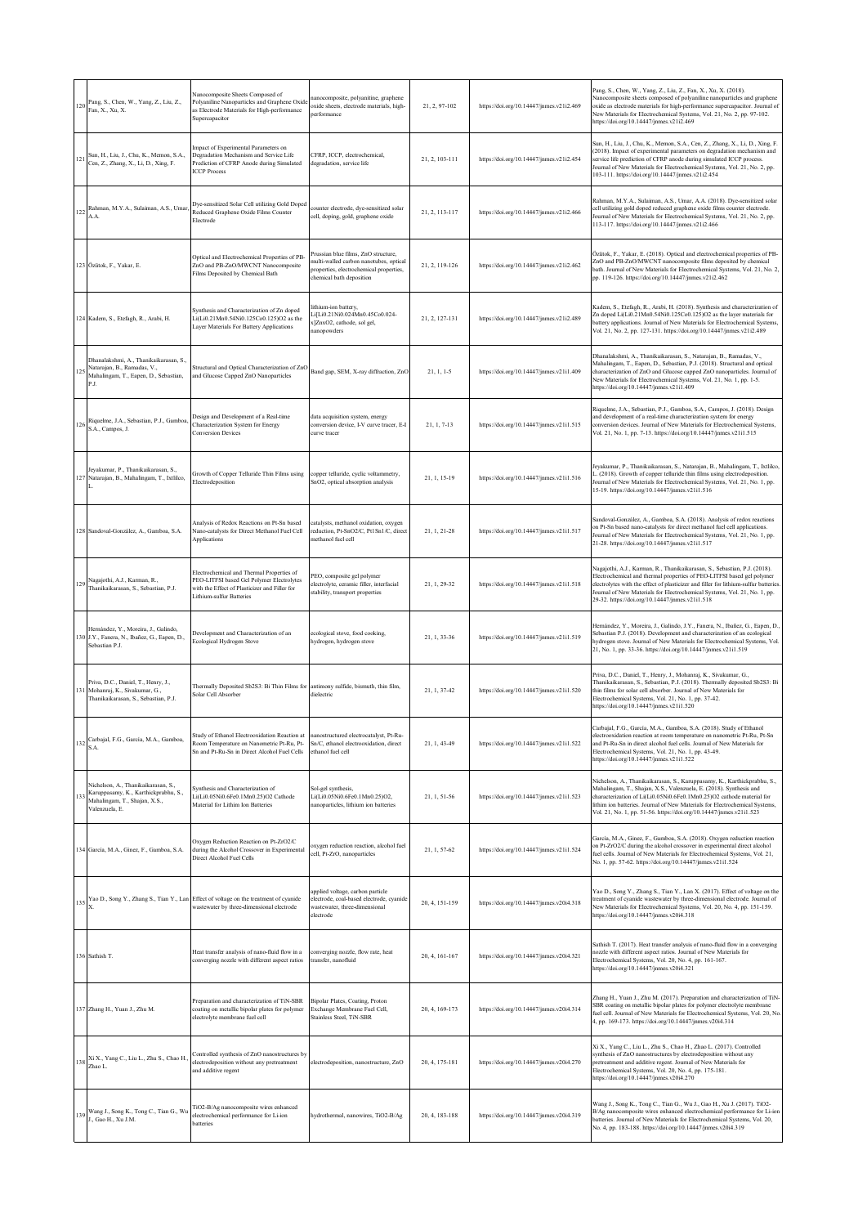| 120 | Pang, S., Chen, W., Yang, Z., Liu, Z.,<br>Fan, X., Xu, X.                                                                      | Nanocomposite Sheets Composed of<br>Polyaniline Nanoparticles and Graphene Oxid<br>as Electrode Materials for High-performance<br>Supercapacitor                   | nanocomposite, polyanitine, graphene<br>oxide sheets, electrode materials, high-<br>performance                                                      | 21, 2, 97-102  | https://doi.org/10.14447/jnmes.v21i2.469 | Pang, S., Chen, W., Yang, Z., Liu, Z., Fan, X., Xu, X. (2018).<br>Nanocomposite sheets composed of polyaniline nanoparticles and graphene<br>oxide as electrode materials for high-performance supercapacitor. Journal of<br>New Materials for Electrochemical Systems, Vol. 21, No. 2, pp. 97-102.<br>https://doi.org/10.14447/jnmes.v21i2.469                               |
|-----|--------------------------------------------------------------------------------------------------------------------------------|--------------------------------------------------------------------------------------------------------------------------------------------------------------------|------------------------------------------------------------------------------------------------------------------------------------------------------|----------------|------------------------------------------|-------------------------------------------------------------------------------------------------------------------------------------------------------------------------------------------------------------------------------------------------------------------------------------------------------------------------------------------------------------------------------|
| 121 | Sun, H., Liu, J., Chu, K., Memon, S.A.,<br>Cen, Z., Zhang, X., Li, D., Xing, F.                                                | Impact of Experimental Parameters on<br>Degradation Mechanism and Service Life<br>Prediction of CFRP Anode during Simulated<br><b>ICCP Process</b>                 | CFRP, ICCP, electrochemical,<br>degradation, service life                                                                                            | 21, 2, 103-111 | https://doi.org/10.14447/jnmes.v21i2.454 | Sun, H., Liu, J., Chu, K., Memon, S.A., Cen, Z., Zhang, X., Li, D., Xing, F.<br>(2018). Impact of experimental parameters on degradation mechanism and<br>service life prediction of CFRP anode during simulated ICCP process.<br>Journal of New Materials for Electrochemical Systems, Vol. 21, No. 2, pp.<br>103-111. https://doi.org/10.14447/jnmes.v21i2.454              |
| 122 | Rahman, M.Y.A., Sulaiman, A.S., Umar,<br>A.A.                                                                                  | Dye-sensitized Solar Cell utilizing Gold Doped<br>Reduced Graphene Oxide Films Counter<br>Electrode                                                                | counter electrode, dye-sensitized solar<br>cell, doping, gold, graphene oxide                                                                        | 21, 2, 113-117 | https://doi.org/10.14447/jnmes.v21i2.466 | Rahman, M.Y.A., Sulaiman, A.S., Umar, A.A. (2018). Dye-sensitized solar<br>cell utilizing gold doped reduced graphene oxide films counter electrode.<br>Journal of New Materials for Electrochemical Systems, Vol. 21, No. 2, pp.<br>113-117. https://doi.org/10.14447/jnmes.v21i2.466                                                                                        |
|     | 123 Özütok, F., Yakar, E.                                                                                                      | Optical and Electrochemical Properties of PB-<br>ZnO and PB-ZnO/MWCNT Nanocomposite<br>Films Deposited by Chemical Bath                                            | Prussian blue films, ZnO structure,<br>multi-walled carbon nanotubes, optical<br>properties, electrochemical properties,<br>chemical bath deposition | 21, 2, 119-126 | https://doi.org/10.14447/jnmes.v21i2.462 | Özütok, F., Yakar, E. (2018). Optical and electrochemical properties of PB-<br>ZnO and PB-ZnO/MWCNT nanocomposite films deposited by chemical<br>bath. Journal of New Materials for Electrochemical Systems, Vol. 21, No. 2,<br>pp. 119-126. https://doi.org/10.14447/jnmes.v21i2.462                                                                                         |
|     | 124 Kadem, S., Etefagh, R., Arabi, H.                                                                                          | Synthesis and Characterization of Zn doped<br>Li(Li0.21Mn0.54Ni0.125Co0.125)O2 as the<br>ayer Materials For Battery Applications                                   | lithium-ion battery,<br>Li[Li0.21Ni0.024Mn0.45Co0.024-<br>x]ZnxO2, cathode, sol gel,<br>nanopowders                                                  | 21, 2, 127-131 | https://doi.org/10.14447/jnmes.v21i2.489 | Kadem, S., Etefagh, R., Arabi, H. (2018). Synthesis and characterization of<br>Zn doped Li(Li0.21Mn0.54Ni0.125Co0.125)O2 as the layer materials for<br>battery applications. Journal of New Materials for Electrochemical Systems,<br>Vol. 21, No. 2, pp. 127-131. https://doi.org/10.14447/jnmes.v21i2.489                                                                   |
| 125 | Dhanalakshmi, A., Thanikaikarasan, S.<br>Natarajan, B., Ramadas, V.,<br>Mahalingam, T., Eapen, D., Sebastian,<br>P.J.          | Structural and Optical Characterization of ZnO<br>and Glucose Capped ZnO Nanoparticles                                                                             | Band gap, SEM, X-ray diffraction, ZnO                                                                                                                | $21, 1, 1-5$   | https://doi.org/10.14447/jnmes.v21i1.409 | Dhanalakshmi, A., Thanikaikarasan, S., Natarajan, B., Ramadas, V.,<br>Mahalingam, T., Eapen, D., Sebastian, P.J. (2018). Structural and optical<br>characterization of ZnO and Glucose capped ZnO nanoparticles. Journal of<br>New Materials for Electrochemical Systems, Vol. 21, No. 1, pp. 1-5.<br>https://doi.org/10.14447/jnmes.v21i1.409                                |
| 126 | Riquelme, J.A., Sebastian, P.J., Gamboa,<br>S.A., Campos, J.                                                                   | Design and Development of a Real-time<br>Characterization System for Energy<br>Conversion Devices                                                                  | data acquisition system, energy<br>conversion device, I-V curve tracer, E-I<br>curve tracer                                                          | 21, 1, 7-13    | https://doi.org/10.14447/jnmes.v21i1.515 | Riquelme, J.A., Sebastian, P.J., Gamboa, S.A., Campos, J. (2018). Design<br>and development of a real-time characterization system for energy<br>conversion devices. Journal of New Materials for Electrochemical Systems,<br>Vol. 21, No. 1, pp. 7-13. https://doi.org/10.14447/jnmes.v21i1.515                                                                              |
| 127 | Jeyakumar, P., Thanikaikarasan, S.,<br>Natarajan, B., Mahalingam, T., Ixtlilco,                                                | Growth of Copper Telluride Thin Films using<br>Electrodeposition                                                                                                   | copper telluride, cyclic voltammetry,<br>SnO2, optical absorption analysis                                                                           | 21, 1, 15-19   | https://doi.org/10.14447/jnmes.v21i1.516 | Jeyakumar, P., Thanikaikarasan, S., Natarajan, B., Mahalingam, T., Ixtlilco,<br>(2018). Growth of copper telluride thin films using electrodeposition.<br>Journal of New Materials for Electrochemical Systems, Vol. 21, No. 1, pp.<br>15-19. https://doi.org/10.14447/jnmes.v21i1.516                                                                                        |
| 128 | Sandoval-González, A., Gamboa, S.A.                                                                                            | Analysis of Redox Reactions on Pt-Sn based<br>Nano-catalysts for Direct Methanol Fuel Cell<br>Applications                                                         | catalysts, methanol oxidation, oxygen<br>reduction, Pt-SnO2/C, Pt1Sn1/C, direct<br>methanol fuel cell                                                | 21, 1, 21-28   | https://doi.org/10.14447/jnmes.v21i1.517 | Sandoval-González, A., Gamboa, S.A. (2018). Analysis of redox reactions<br>on Pt-Sn based nano-catalysts for direct methanol fuel cell applications.<br>Journal of New Materials for Electrochemical Systems, Vol. 21, No. 1, pp.<br>21-28. https://doi.org/10.14447/jnmes.v21i1.517                                                                                          |
| 129 | Nagajothi, A.J., Karman, R.,<br>Thanikaikarasan, S., Sebastian, P.J.                                                           | Electrochemical and Thermal Properties of<br>PEO-LITFSI based Gel Polymer Electrolytes<br>with the Effect of Plasticizer and Filler for<br>ithium-sulfur Batteries | PEO, composite gel polymer<br>electrolyte, ceramic filler, interfacial<br>stability, transport properties                                            | 21, 1, 29-32   | https://doi.org/10.14447/jnmes.v21i1.518 | Nagajothi, A.J., Karman, R., Thanikaikarasan, S., Sebastian, P.J. (2018).<br>Electrochemical and thermal properties of PEO-LITFSI based gel polymer<br>electrolytes with the effect of plasticizer and filler for lithium-sulfur batteries.<br>Journal of New Materials for Electrochemical Systems, Vol. 21, No. 1, pp.<br>29-32. https://doi.org/10.14447/jnmes.v21i1.518   |
|     | Hernández, Y., Moreira, J., Galindo,<br>130 J.Y., Fanera, N., Ibañez, G., Eapen, D.,<br>Sebastian P.J.                         | Development and Characterization of an<br>Ecological Hydrogen Stove                                                                                                | ecological stove, food cooking,<br>hydrogen, hydrogen stove                                                                                          | 21, 1, 33-36   | https://doi.org/10.14447/jnmes.v21i1.519 | Hernández, Y., Moreira, J., Galindo, J.Y., Fanera, N., Ibañez, G., Eapen, D.,<br>Sebastian P.J. (2018). Development and characterization of an ecological<br>hydrogen stove. Journal of New Materials for Electrochemical Systems, Vol.<br>21, No. 1, pp. 33-36. https://doi.org/10.14447/jnmes.v21i1.519                                                                     |
| 131 | Priva, D.C., Daniel, T., Henry, J.,<br>Mohanraj, K., Sivakumar, G.,<br>Thanikaikarasan, S., Sebastian, P.J.                    | Thermally Deposited Sb2S3: Bi Thin Films for<br>Solar Cell Absorber                                                                                                | antimony sulfide, bismuth, thin film,<br>dielectric                                                                                                  | 21, 1, 37-42   | https://doi.org/10.14447/jnmes.v21i1.520 | Priva, D.C., Daniel, T., Henry, J., Mohanraj, K., Sivakumar, G.,<br>Thanikaikarasan, S., Sebastian, P.J. (2018). Thermally deposited Sb2S3: Bi<br>thin films for solar cell absorber. Journal of New Materials for<br>Electrochemical Systems, Vol. 21, No. 1, pp. 37-42.<br>https://doi.org/10.14447/jnmes.v21i1.520                                                         |
| 132 | Carbajal, F.G., García, M.A., Gamboa,<br>S.A.                                                                                  | Study of Ethanol Electrooxidation Reaction at<br>Room Temperature on Nanometric Pt-Ru, Pt-<br>Sn and Pt-Ru-Sn in Direct Alcohol Fuel Cells                         | nanostructured electrocatalyst, Pt-Ru-<br>Sn/C, ethanol electrooxidation, direct<br>ethanol fuel cell                                                | 21, 1, 43-49   | https://doi.org/10.14447/jnmes.v21i1.522 | larbajal, F.G., García, M.A., Gamboa, S.A. (2018). Study of Ethanol<br>electrooxidation reaction at room temperature on nanometric Pt-Ru, Pt-Sn<br>and Pt-Ru-Sn in direct alcohol fuel cells. Journal of New Materials for<br>Electrochemical Systems, Vol. 21, No. 1, pp. 43-49.<br>https://doi.org/10.14447/jnmes.v21i1.522                                                 |
| 133 | Nichelson, A., Thanikaikarasan, S.,<br>Karuppasamy, K., Karthickprabhu, S.,<br>Mahalingam, T., Shajan, X.S.,<br>Valenzuela, E. | Synthesis and Characterization of<br>Li(Li0.05Ni0.6Fe0.1Mn0.25)O2 Cathode<br>Material for Lithim Ion Batteries                                                     | Sol-gel synthesis,<br>Li(Li0.05Ni0.6Fe0.1Mn0.25)O2,<br>nanoparticles, lithium ion batteries                                                          | 21, 1, 51-56   | https://doi.org/10.14447/jnmes.v21i1.523 | Nichelson, A., Thanikaikarasan, S., Karuppasamy, K., Karthickprabhu, S.,<br>Mahalingam, T., Shajan, X.S., Valenzuela, E. (2018). Synthesis and<br>characterization of Li(Li0.05Ni0.6Fe0.1Mn0.25)O2 cathode material for<br>lithim ion batteries. Journal of New Materials for Electrochemical Systems,<br>Vol. 21, No. 1, pp. 51-56. https://doi.org/10.14447/jnmes.v21i1.523 |
|     | 134 García, M.A., Ginez, F., Gamboa, S.A.                                                                                      | Oxygen Reduction Reaction on Pt-ZrO2/C<br>during the Alcohol Crossover in Experimental<br>Direct Alcohol Fuel Cells                                                | oxygen reduction reaction, alcohol fuel<br>cell, Pt-ZrO, nanoparticles                                                                               | 21, 1, 57-62   | https://doi.org/10.14447/jnmes.v21i1.524 | García, M.A., Ginez, F., Gamboa, S.A. (2018). Oxygen reduction reaction<br>on Pt-ZrO2/C during the alcohol crossover in experimental direct alcohol<br>fuel cells. Journal of New Materials for Electrochemical Systems, Vol. 21,<br>No. 1, pp. 57-62. https://doi.org/10.14447/jnmes.v21i1.524                                                                               |
| 135 |                                                                                                                                | Yao D., Song Y., Zhang S., Tian Y., Lan Effect of voltage on the treatment of cyanide<br>wastewater by three-dimensional electrode                                 | applied voltage, carbon particle<br>electrode, coal-based electrode, cyanide<br>wastewater, three-dimensional<br>electrode                           | 20, 4, 151-159 | https://doi.org/10.14447/jnmes.v20i4.318 | Yao D., Song Y., Zhang S., Tian Y., Lan X. (2017). Effect of voltage on the<br>treatment of cyanide wastewater by three-dimensional electrode. Journal of<br>New Materials for Electrochemical Systems, Vol. 20, No. 4, pp. 151-159.<br>https://doi.org/10.14447/jnmes.v20i4.318                                                                                              |
|     | 136 Sathish T.                                                                                                                 | Heat transfer analysis of nano-fluid flow in a<br>converging nozzle with different aspect ratios                                                                   | converging nozzle, flow rate, heat<br>transfer, nanofluid                                                                                            | 20, 4, 161-167 | https://doi.org/10.14447/jnmes.v20i4.321 | Sathish T. (2017). Heat transfer analysis of nano-fluid flow in a converging<br>tozzle with different aspect ratios. Journal of New Materials for<br>Electrochemical Systems, Vol. 20, No. 4, pp. 161-167.<br>https://doi.org/10.14447/jnmes.v20i4.321                                                                                                                        |
|     | 137 Zhang H., Yuan J., Zhu M.                                                                                                  | Preparation and characterization of TiN-SBR<br>coating on metallic bipolar plates for polymer<br>electrolyte membrane fuel cell                                    | Bipolar Plates, Coating, Proton<br>Exchange Membrane Fuel Cell,<br>Stainless Steel, TiN-SBR                                                          | 20, 4, 169-173 | https://doi.org/10.14447/jnmes.v20i4.314 | Zhang H., Yuan J., Zhu M. (2017). Preparation and characterization of TiN-<br>SBR coating on metallic bipolar plates for polymer electrolyte membrane<br>fuel cell. Journal of New Materials for Electrochemical Systems, Vol. 20, No.<br>4, pp. 169-173. https://doi.org/10.14447/jnmes.v20i4.314                                                                            |
| 138 | Xi X., Yang C., Liu L., Zhu S., Chao H.,<br>Zhao L.                                                                            | Controlled synthesis of ZnO nanostructures by<br>electrodeposition without any pretreatment<br>and additive regent                                                 | electrodeposition, nanostructure, ZnO                                                                                                                | 20, 4, 175-181 | https://doi.org/10.14447/jnmes.v20i4.270 | Xi X., Yang C., Liu L., Zhu S., Chao H., Zhao L. (2017). Controlled<br>synthesis of ZnO nanostructures by electrodeposition without any<br>pretreatment and additive regent. Journal of New Materials for<br>Electrochemical Systems, Vol. 20, No. 4, pp. 175-181.<br>https://doi.org/10.14447/jnmes.v20i4.270                                                                |
| 139 | Wang J., Song K., Tong C., Tian G., Wu<br>J., Gao H., Xu J.M.                                                                  | TiO2-B/Ag nanocomposite wires enhanced<br>electrochemical performance for Li-ion<br>batteries                                                                      | hydrothermal, nanowires, TiO2-B/Ag                                                                                                                   | 20, 4, 183-188 | https://doi.org/10.14447/jnmes.v20i4.319 | Wang J., Song K., Tong C., Tian G., Wu J., Gao H., Xu J. (2017). TiO2-<br>B/Ag nanocomposite wires enhanced electrochemical performance for Li-ion<br>batteries. Journal of New Materials for Electrochemical Systems, Vol. 20,<br>No. 4, pp. 183-188. https://doi.org/10.14447/jnmes.v20i4.319                                                                               |